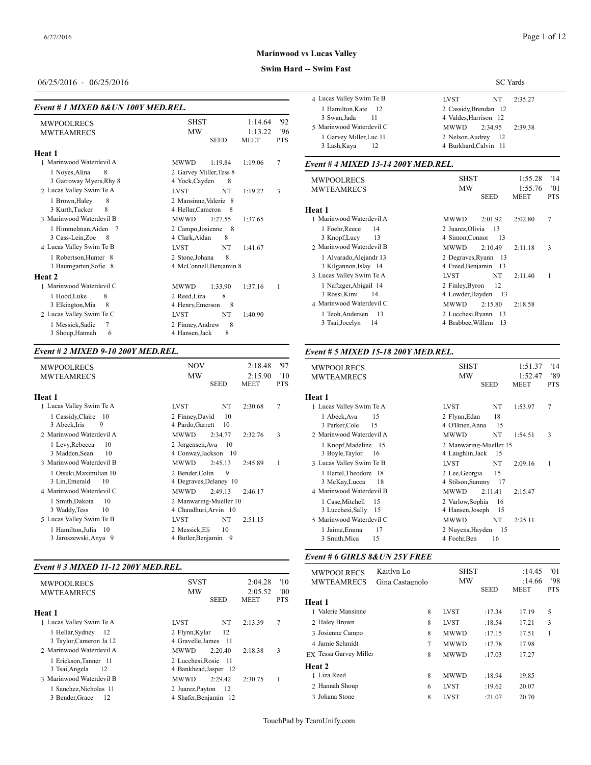#### **Swim Hard -- Swim Fast**

## 06/25/2016 - 06/25/2016

#### *Event # 1 MIXED 8&UN 100Y MED.REL.*

| <b>MWPOOLRECS</b><br><b>MWTEAMRECS</b>                                                                                      | <b>SHST</b><br>1:14.64<br><b>MW</b><br>1:13.22<br><b>SEED</b><br><b>MEET</b>                                                            | 11<br>3 Swan.Jada<br>'92<br>5 Marinwood Waterdevil C<br>'96<br>1 Garvey Miller, Luc 11<br><b>PTS</b><br>12<br>3 Lash, Kaya                     | 4 Valdes, Harrison<br><b>MWWD</b><br>2:34<br>2 Nelson, Audrey<br>4 Burkhard, Calvin                  |
|-----------------------------------------------------------------------------------------------------------------------------|-----------------------------------------------------------------------------------------------------------------------------------------|------------------------------------------------------------------------------------------------------------------------------------------------|------------------------------------------------------------------------------------------------------|
| Heat 1<br>1 Marinwood Waterdevil A<br>1 Noves, Alina<br>8                                                                   | <b>MWWD</b><br>1:19.84<br>1:19.06<br>2 Garvey Miller, Tess 8                                                                            | 7<br>Event #4 MIXED 13-14 200Y MED.REL.                                                                                                        |                                                                                                      |
| 3 Garroway Myers, Rhy 8<br>2 Lucas Valley Swim Te A                                                                         | 4 Yock, Cayden<br>8<br>NT<br>1:19.22<br><b>LVST</b>                                                                                     | <b>MWPOOLRECS</b><br><b>MWTEAMRECS</b><br>3                                                                                                    | <b>SHST</b><br><b>MW</b><br><b>SEE</b>                                                               |
| 8<br>1 Brown, Haley<br>3 Kurth, Tucker<br>8<br>3 Marinwood Waterdevil B                                                     | 2 Mansinne, Valerie 8<br>4 Hellar, Cameron<br>- 8<br><b>MWWD</b><br>1:27.55<br>1:37.65                                                  | Heat 1<br>1 Marinwood Waterdevil A                                                                                                             | <b>MWWD</b><br>2:01                                                                                  |
| 1 Himmelman, Aiden 7<br>3 Cass-Lein, Zoe<br>- 8<br>4 Lucas Valley Swim Te B                                                 | 2 Campo, Josienne 8<br>4 Clark, Aidan<br>8<br><b>NT</b><br><b>LVST</b><br>1:41.67                                                       | 1 Foehr, Reece<br>14<br>3 Knopf, Lucy<br>13<br>2 Marinwood Waterdevil B                                                                        | 2 Juarez, Olivia<br>4 Simon, Connor<br><b>MWWD</b><br>2:10                                           |
| 1 Robertson, Hunter 8<br>3 Baumgarten, Sofie 8<br><b>Heat 2</b>                                                             | 8<br>2 Stone, Johana<br>4 McConnell, Benjamin 8                                                                                         | 1 Alvarado, Alejandr 13<br>3 Kilgannon, Islay 14<br>3 Lucas Valley Swim Te A                                                                   | 2 Degraves, Ryann<br>4 Freed, Benjamin<br><b>LVST</b>                                                |
| 1 Marinwood Waterdevil C<br>8<br>1 Hood, Luke<br>8<br>3 Elkington, Mia<br>2 Lucas Valley Swim Te C<br>7<br>1 Messick, Sadie | 1:37.16<br><b>MWWD</b><br>1:33.90<br>8<br>2 Reed.Liza<br>4 Henry, Emerson<br>8<br><b>LVST</b><br>NT<br>1:40.90<br>8<br>2 Finney, Andrew | 1 Naftzger, Abigail 14<br>$\overline{1}$<br>3 Rossi, Kimi<br>14<br>4 Marinwood Waterdevil C<br>1 Teoh, Andersen<br>13<br>3 Tsai, Jocelyn<br>14 | 2 Finley, Byron<br>4 Lowder, Havden<br><b>MWWD</b><br>2:15<br>2 Lucchesi, Ryann<br>4 Brabbee, Willem |
| 3 Shoup, Hannah<br>6                                                                                                        | 8<br>4 Hansen, Jack                                                                                                                     |                                                                                                                                                |                                                                                                      |

#### *Event # 2 MIXED 9-10 200Y MED.REL.*

| <b>MWPOOLRECS</b>                                  | <b>NOV</b><br>'97<br>2:18.48                                     | <b>MWPOOLRECS</b>                  |
|----------------------------------------------------|------------------------------------------------------------------|------------------------------------|
| <b>MWTEAMRECS</b>                                  | <b>MW</b><br>2:15.90<br>'10<br><b>PTS</b><br><b>SEED</b><br>MEET | <b>MWTEAMREC</b>                   |
| Heat 1                                             | Heat 1                                                           |                                    |
| 1 Lucas Valley Swim Te A                           | 7<br>NT<br>LVST<br>2:30.68                                       | 1 Lucas Valley Sw                  |
| 1 Cassidy, Claire 10<br>3 Abeck, Iris<br>9         | 2 Finney, David<br>10<br>4 Pardo, Garrett<br>10                  | 1 Abeck, Ava<br>3 Parker, Cole     |
| 2 Marinwood Waterdevil A                           | <b>MWWD</b><br>3<br>2:34.77<br>2:32.76                           | 2 Marinwood Wat                    |
| 1 Levy, Rebecca<br>10<br>3 Madden, Sean<br>10      | 2 Jorgensen. Ava<br>10<br>4 Conway, Jackson 10                   | 1 Knopf, Made<br>3 Boyle, Taylor   |
| 3 Marinwood Waterdevil B                           | <b>MWWD</b><br>2:45.13<br>2:45.89<br>1                           | 3 Lucas Valley Sw                  |
| 1 Otsuki, Maximilian 10<br>3 Lin, Emerald<br>10    | 2 Bender, Colin<br>9<br>4 Degraves, Delaney 10                   | 1 Hartel, Theod<br>3 McKay, Lucc   |
| 4 Marinwood Waterdevil C                           | <b>MWWD</b><br>2:49.13<br>2:46.17                                | 4 Marinwood Wat                    |
| 1 Smith, Dakota<br>10<br>10<br>3 Waddy, Tess       | 2 Manwaring-Mueller 10<br>4 Chaudhuri, Arvin 10                  | 1 Case, Mitchel<br>3 Lucchesi, Sal |
| 5 Lucas Valley Swim Te B                           | <b>LVST</b><br>NT<br>2:51.15                                     | 5 Marinwood Wat                    |
| 1 Hamilton, Julia<br>- 10<br>3 Jaroszewski, Anya 9 | 10<br>2 Messick, Eli<br>4 Butler, Benjamin 9                     | 1 Jaime, Emma<br>3 Smith, Mica     |
|                                                    |                                                                  |                                    |

#### *Event # 3 MIXED 11-12 200Y MED.REL.*

|                          |                         |              | MWPOOLREC:              |
|--------------------------|-------------------------|--------------|-------------------------|
| <b>MWPOOLRECS</b>        | <b>SVST</b>             | 2:04.28      | <b>MWTEAMREC</b><br>'10 |
| <b>MWTEAMRECS</b>        | <b>MW</b>               | 2:05.52      | '00                     |
|                          | <b>SEED</b>             | <b>MEET</b>  | <b>PTS</b><br>Heat 1    |
| Heat 1                   |                         |              | 1 Valerie Mansinn       |
| 1 Lucas Valley Swim Te A | NT<br><b>LVST</b>       | 2:13.39<br>7 | 2 Haley Brown           |
| 1 Hellar, Sydney 12      | 12<br>2 Flynn, Kylar    |              | 3 Josienne Campo        |
| 3 Taylor, Cameron Ja 12  | 4 Gravelle.James 11     |              | 4 Jamie Schmidt         |
| 2 Marinwood Waterdevil A | <b>MWWD</b><br>2:20.40  | 3<br>2:18.38 | EX Tessa Garvey M       |
| 1 Erickson, Tanner 11    | 2 Lucchesi, Rosie 11    |              |                         |
| 3 Tsai, Angela<br>- 12   | 4 Bankhead, Jasper 12   |              | Heat 2                  |
| 3 Marinwood Waterdevil B | 2:29.42<br><b>MWWD</b>  | 2:30.75      | 1 Liza Reed             |
| 1 Sanchez, Nicholas 11   | 2 Juarez.Payton<br>- 12 |              | 2 Hannah Shoup          |
| 3 Bender, Grace<br>-12   | 4 Shafer.Benjamin 12    |              | 3 Johana Stone          |
|                          |                         |              |                         |

|                                               | <b>SC</b> Yards                                           |  |  |  |  |  |
|-----------------------------------------------|-----------------------------------------------------------|--|--|--|--|--|
| 4 Lucas Valley Swim Te B                      | LVST<br>2:35.27<br>NT                                     |  |  |  |  |  |
| 1 Hamilton, Kate 12<br>3 Swan.Jada<br>11      | 2 Cassidy.Brendan 12<br>4 Valdes.Harrison 12              |  |  |  |  |  |
| 5 Marinwood Waterdevil C                      | 2:34.95<br>2:39.38<br><b>MWWD</b>                         |  |  |  |  |  |
| 1 Garvey Miller, Luc 11<br>3 Lash, Kaya<br>12 | 2 Nelson.Audrey<br>$\frac{12}{2}$<br>4 Burkhard.Calvin 11 |  |  |  |  |  |

| <b>MWPOOLRECS</b><br><b>MWTEAMRECS</b> | <b>SHST</b><br><b>MW</b>  | 1:55.28<br>'14<br>1:55.76<br>'01 |
|----------------------------------------|---------------------------|----------------------------------|
|                                        | <b>SEED</b>               | <b>MEET</b><br><b>PTS</b>        |
| Heat 1                                 |                           |                                  |
| 1 Marinwood Waterdevil A               | <b>MWWD</b><br>2:01.92    | 7<br>2:02.80                     |
| 1 Foehr, Reece<br>14                   | 2 Juarez, Olivia<br>-13   |                                  |
| 3 Knopf, Lucy<br>- 13                  | 4 Simon, Connor<br>- 13   |                                  |
| 2 Marinwood Waterdevil B               | <b>MWWD</b><br>2:10.49    | 3<br>2:11.18                     |
| 1 Alvarado, Alejandr 13                | 2 Degraves, Ryann 13      |                                  |
| 3 Kilgannon, Islay 14                  | 4 Freed, Benjamin 13      |                                  |
| 3 Lucas Valley Swim Te A               | NT<br><b>LVST</b>         | 1<br>2:11.40                     |
| 1 Naftzger, Abigail 14                 | 12<br>2 Finley, Byron     |                                  |
| 3 Rossi, Kimi<br>14                    | 4 Lowder, Hayden<br>- 13  |                                  |
| 4 Marinwood Waterdevil C               | <b>MWWD</b><br>2:15.80    | 2:18.58                          |
| 1 Teoh, Andersen 13                    | 2 Lucchesi, Ryann<br>- 13 |                                  |
| 3 Tsai, Jocelyn<br>14                  | 4 Brabbee, Willem<br>-13  |                                  |
|                                        |                           |                                  |

#### *Event # 5 MIXED 15-18 200Y MED.REL.*

| <b>MWPOOLRECS</b>                                                          | <b>SHST</b>                                                            | 1:51.37                | '14               |
|----------------------------------------------------------------------------|------------------------------------------------------------------------|------------------------|-------------------|
| <b>MWTEAMRECS</b>                                                          | MW<br><b>SEED</b>                                                      | 1:52.47<br><b>MEET</b> | '89<br><b>PTS</b> |
| Heat 1                                                                     |                                                                        |                        |                   |
| 1 Lucas Valley Swim Te A                                                   | LVST<br>NT                                                             | 1:53.97                | 7                 |
| 15<br>1 Abeck, Ava<br>15<br>3 Parker, Cole                                 | 18<br>2 Flynn, Edan<br>15<br>4 O'Brien, Anna                           |                        |                   |
| 2 Marinwood Waterdevil A                                                   | <b>MWWD</b><br>NT                                                      | 1:54.51                | 3                 |
| 1 Knopf, Madeline 15<br>3 Boyle, Taylor<br>16<br>3 Lucas Valley Swim Te B  | 2 Manwaring-Mueller 15<br>4 Laughlin, Jack<br>-15<br>NT<br><b>LVST</b> | 2:09.16                | 1                 |
| 1 Hartel, Theodore 18<br>3 McKay, Lucca<br>18                              | 15<br>2 Lee, Georgia<br>4 Stilson, Sammy<br>- 17                       |                        |                   |
| 4 Marinwood Waterdevil B                                                   | <b>MWWD</b><br>2:11.41                                                 | 2:15.47                |                   |
| 1 Case, Mitchell<br>15<br>3 Lucchesi, Sally 15<br>5 Marinwood Waterdevil C | 2 Varlow, Sophia<br>16<br>4 Hansen, Joseph<br>15<br><b>MWWD</b><br>NT  | 2:25.11                |                   |
| 1 Jaime, Emma<br>17<br>15<br>3 Smith, Mica                                 | 2 Nuyens, Hayden<br>- 15<br>4 Foehr, Ben<br>16                         |                        |                   |

#### *Event # 6 GIRLS 8&UN 25Y FREE*

| <b>MWPOOLRECS</b><br><b>MWTEAMRECS</b> | Kaitlyn Lo<br>Gina Castagnolo | MW          | <b>SHST</b> |                       | '01<br>'98 |
|----------------------------------------|-------------------------------|-------------|-------------|-----------------------|------------|
|                                        |                               |             | <b>SEED</b> | :14.66<br><b>MEET</b> | <b>PTS</b> |
| Heat 1                                 |                               |             |             |                       |            |
| 1 Valerie Mansinne                     | 8                             | <b>LVST</b> | :17.34      | 17.19                 | 5          |
| 2 Haley Brown                          | 8                             | <b>LVST</b> | :18.54      | 17.21                 | 3          |
| 3 Josienne Campo                       | 8                             | <b>MWWD</b> | :17.15      | 17.51                 | 1          |
| 4 Jamie Schmidt                        | 7                             | <b>MWWD</b> | :17.78      | 17.98                 |            |
| EX Tessa Garvey Miller                 | 8                             | <b>MWWD</b> | :17.03      | 17.27                 |            |
| Heat 2                                 |                               |             |             |                       |            |
| 1 Liza Reed                            | 8                             | <b>MWWD</b> | :18.94      | 19.85                 |            |
| 2 Hannah Shoup                         | 6                             | <b>LVST</b> | :19.62      | 20.07                 |            |
| 3 Johana Stone                         | 8                             | <b>LVST</b> | :21.07      | 20.70                 |            |
|                                        |                               |             |             |                       |            |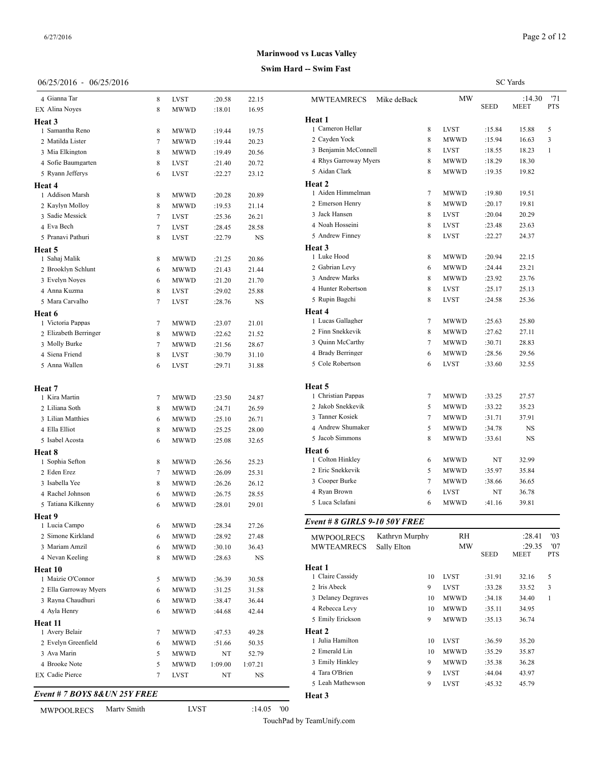### **Swim Hard -- Swim Fast**

| 06/25/2016 - 06/25/2016 |  |  |  |
|-------------------------|--|--|--|
|-------------------------|--|--|--|

| 4 Gianna Tar                    | 8      | <b>LVST</b>                | :20.58           | 22.15          | MWTE.               |
|---------------------------------|--------|----------------------------|------------------|----------------|---------------------|
| EX Alina Noyes                  | 8      | MWWD                       | :18.01           | 16.95          |                     |
| Heat 3                          |        |                            |                  |                | Heat 1              |
| 1 Samantha Reno                 | 8      | <b>MWWD</b>                | :19.44           | 19.75          | 1 Camer             |
| 2 Matilda Lister                | 7      | <b>MWWD</b>                | :19.44           | 20.23          | 2 Cayde             |
| 3 Mia Elkington                 | 8      | <b>MWWD</b>                | :19.49           | 20.56          | 3 Benjar            |
| 4 Sofie Baumgarten              | 8      | <b>LVST</b>                | :21.40           | 20.72          | 4 Rhys              |
| 5 Ryann Jefferys                | 6      | <b>LVST</b>                | :22.27           | 23.12          | 5 Aidan             |
| Heat 4                          |        |                            |                  |                | Heat 2              |
| 1 Addison Marsh                 | 8      | <b>MWWD</b>                | :20.28           | 20.89          | 1 Aiden             |
| 2 Kaylyn Molloy                 | 8      | <b>MWWD</b>                | :19.53           | 21.14          | 2 Emers<br>3 Jack H |
| 3 Sadie Messick                 | 7      | <b>LVST</b>                | :25.36           | 26.21          | 4 Noah l            |
| 4 Eva Bech                      | 7      | <b>LVST</b>                | :28.45           | 28.58          | 5 Andre             |
| 5 Pranavi Pathuri               | 8      | <b>LVST</b>                | :22.79           | NS             |                     |
| Heat 5                          |        |                            |                  |                | Heat 3<br>1 Luke I  |
| 1 Sahaj Malik                   | 8      | <b>MWWD</b>                | :21.25           | 20.86          | 2 Gabria            |
| 2 Brooklyn Schlunt              | 6      | <b>MWWD</b>                | :21.43           | 21.44          | 3 Andre             |
| 3 Evelyn Noyes                  | 6      | <b>MWWD</b>                | :21.20           | 21.70          | 4 Hunter            |
| 4 Anna Kuzma<br>5 Mara Carvalho | 8      | <b>LVST</b>                | :29.02           | 25.88          | 5 Rupin             |
|                                 | 7      | <b>LVST</b>                | :28.76           | NS             | Heat 4              |
| Heat 6<br>1 Victoria Pappas     |        |                            |                  |                | 1 Lucas             |
| 2 Elizabeth Berringer           | 7<br>8 | <b>MWWD</b>                | :23.07           | 21.01          | 2 Finn S            |
| 3 Molly Burke                   | 7      | <b>MWWD</b><br><b>MWWD</b> | :22.62<br>:21.56 | 21.52<br>28.67 | 3 Quinn             |
| 4 Siena Friend                  | 8      | <b>LVST</b>                | :30.79           | 31.10          | 4 Brady             |
| 5 Anna Wallen                   | 6      | <b>LVST</b>                | :29.71           | 31.88          | 5 Cole F            |
|                                 |        |                            |                  |                | Heat 5              |
| Heat 7<br>1 Kira Martin         | 7      | <b>MWWD</b>                | :23.50           | 24.87          | 1 Christ            |
| 2 Liliana Soth                  | 8      | <b>MWWD</b>                | :24.71           | 26.59          | 2 Jakob             |
| 3 Lilian Matthies               | 6      | MWWD                       | :25.10           | 26.71          | 3 Tanner            |
| 4 Ella Elliot                   | 8      | MWWD                       | :25.25           | 28.00          | 4 Andre             |
| 5 Isabel Acosta                 | 6      | <b>MWWD</b>                | :25.08           | 32.65          | 5 Jacob             |
| Heat 8                          |        |                            |                  |                | Heat 6              |
| 1 Sophia Sefton                 | 8      | <b>MWWD</b>                | :26.56           | 25.23          | 1 Coltor            |
| 2 Eden Erez                     | 7      | <b>MWWD</b>                | :26.09           | 25.31          | 2 Eric S            |
| 3 Isabella Yee                  | 8      | MWWD                       | :26.26           | 26.12          | 3 Coope             |
| 4 Rachel Johnson                | 6      | <b>MWWD</b>                | :26.75           | 28.55          | 4 Ryan I            |
| 5 Tatiana Kilkenny              | 6      | MWWD                       | :28.01           | 29.01          | 5 Luca S            |
| Heat 9                          |        |                            |                  |                |                     |
| 1 Lucia Campo                   | 6      | MWWD                       | :28.34           | 27.26          | Event #             |
| 2 Simone Kirkland               | 6      | MWWD                       | :28.92           | 27.48          | <b>MWPO</b>         |
| 3 Mariam Amzil                  | 6      | MWWD                       | :30.10           | 36.43          | MWTE.               |
| 4 Nevan Keeling                 | 8      | MWWD                       | :28.63           | NS             |                     |
| Heat 10                         |        |                            |                  |                | Heat 1              |
| 1 Maizie O'Connor               | 5      | <b>MWWD</b>                | :36.39           | 30.58          | 1 Claire            |
| 2 Ella Garroway Myers           | 6      | MWWD                       | :31.25           | 31.58          | 2 Iris Ab           |
| 3 Rayna Chaudhuri               | 6      | MWWD                       | :38.47           | 36.44          | 3 Delano            |
| 4 Ayla Henry                    | 6      | <b>MWWD</b>                | :44.68           | 42.44          | 4 Rebec             |
| Heat 11                         |        |                            |                  |                | 5 Emily             |
| 1 Avery Belair                  | 7      | <b>MWWD</b>                | :47.53           | 49.28          | Heat 2<br>1 Julia F |
| 2 Evelyn Greenfield             | 6      | <b>MWWD</b>                | :51.66           | 50.35          | 2 Emera             |
| 3 Ava Marin                     | 5      | <b>MWWD</b>                | NT               | 52.79          | 3 Emily             |
| 4 Brooke Note                   | 5      | <b>MWWD</b>                | 1:09.00          | 1:07.21        | 4 Tara C            |
| EX Cadie Pierce                 | 7      | LVST                       | NT               | NS             | 5 Leah N            |
| Event # 7 BOYS 8& UN 25Y FREE   |        |                            |                  |                | <b>Heat 3</b>       |
|                                 |        |                            |                  |                |                     |

| <b>MWPOOLRECS</b> | Marty Smith | LVST | :14.05 | '00 |
|-------------------|-------------|------|--------|-----|
|                   |             |      |        |     |

TouchPad by TeamUnify.com

**Heat 3**

|                               |                |                |             |             | <b>SC</b> Yards |            |
|-------------------------------|----------------|----------------|-------------|-------------|-----------------|------------|
| <b>MWTEAMRECS</b>             | Mike deBack    |                | MW          |             | :14.30          | '71        |
|                               |                |                |             | <b>SEED</b> | <b>MEET</b>     | <b>PTS</b> |
| Heat 1                        |                |                |             |             |                 |            |
| 1 Cameron Hellar              |                | 8              | LVST        | :15.84      | 15.88           | 5          |
| 2 Cayden Yock                 |                | 8              | <b>MWWD</b> | :15.94      | 16.63           | 3          |
| 3 Benjamin McConnell          |                | 8              | LVST        | :18.55      | 18.23           | 1          |
| 4 Rhys Garroway Myers         |                | 8              | <b>MWWD</b> | :18.29      | 18.30           |            |
| 5 Aidan Clark                 |                | 8              | MWWD        | :19.35      | 19.82           |            |
| Heat 2                        |                |                |             |             |                 |            |
| 1 Aiden Himmelman             |                | $\overline{7}$ | MWWD        | :19.80      | 19.51           |            |
| 2 Emerson Henry               |                | 8              | MWWD        | :20.17      | 19.81           |            |
| 3 Jack Hansen                 |                | 8              | <b>LVST</b> | :20.04      | 20.29           |            |
| 4 Noah Hosseini               |                | 8              | <b>LVST</b> | :23.48      | 23.63           |            |
| 5 Andrew Finney               |                | 8              | <b>LVST</b> | :22.27      | 24.37           |            |
| Heat 3                        |                |                |             |             |                 |            |
| 1 Luke Hood                   |                | 8              | MWWD        | :20.94      | 22.15           |            |
| 2 Gabrian Levy                |                | 6              | <b>MWWD</b> | :24.44      | 23.21           |            |
| 3 Andrew Marks                |                | 8              | MWWD        | :23.92      | 23.76           |            |
| 4 Hunter Robertson            |                | 8              | <b>LVST</b> | :25.17      | 25.13           |            |
| 5 Rupin Bagchi                |                | 8              | <b>LVST</b> | :24.58      | 25.36           |            |
| Heat 4                        |                |                |             |             |                 |            |
| 1 Lucas Gallagher             |                | 7              | <b>MWWD</b> | :25.63      | 25.80           |            |
| 2 Finn Snekkevik              |                | 8              | MWWD        | :27.62      | 27.11           |            |
| 3 Quinn McCarthy              |                | $\tau$         | <b>MWWD</b> | :30.71      | 28.83           |            |
| 4 Brady Berringer             |                | 6              | <b>MWWD</b> | :28.56      | 29.56           |            |
| 5 Cole Robertson              |                | 6              | <b>LVST</b> | :33.60      | 32.55           |            |
|                               |                |                |             |             |                 |            |
| Heat 5                        |                |                |             |             |                 |            |
| 1 Christian Pappas            |                | $\tau$         | MWWD        | :33.25      | 27.57           |            |
| 2 Jakob Snekkevik             |                | 5              | <b>MWWD</b> | :33.22      | 35.23           |            |
| 3 Tanner Kosiek               |                | 7              | MWWD        | :31.71      | 37.91           |            |
| 4 Andrew Shumaker             |                | 5              | MWWD        | :34.78      | NS              |            |
| 5 Jacob Simmons               |                | 8              | MWWD        | :33.61      | <b>NS</b>       |            |
| Heat 6                        |                |                |             |             |                 |            |
| 1 Colton Hinkley              |                | 6              | MWWD        | NT          | 32.99           |            |
| 2 Eric Snekkevik              |                | 5              | MWWD        | :35.97      | 35.84           |            |
| 3 Cooper Burke                |                | $\overline{7}$ | <b>MWWD</b> | :38.66      | 36.65           |            |
| 4 Ryan Brown                  |                | 6              | LVST        | NT          | 36.78           |            |
| 5 Luca Sclafani               |                | 6              | MWWD        | :41.16      | 39.81           |            |
|                               |                |                |             |             |                 |            |
| Event # 8 GIRLS 9-10 50Y FREE |                |                |             |             |                 |            |
| <b>MWPOOLRECS</b>             | Kathryn Murphy |                | RH          |             | :28.41          | '03        |
| <b>MWTEAMRECS</b>             | Sally Elton    |                | MW          |             | :29.35          | '07        |
|                               |                |                |             | <b>SEED</b> | MEET            | PTS        |

| MWPOOLRECS         | Naulfvii iviufdiiv | ĸп          |             | .20.41      | UJ.        |
|--------------------|--------------------|-------------|-------------|-------------|------------|
| <b>MWTEAMRECS</b>  | Sally Elton        | MW          |             | :29.35      | '07        |
|                    |                    |             | <b>SEED</b> | <b>MEET</b> | <b>PTS</b> |
| Heat 1             |                    |             |             |             |            |
| 1 Claire Cassidy   | 10                 | <b>LVST</b> | :31.91      | 32.16       | 5          |
| 2 Iris Abeck       | 9                  | <b>LVST</b> | :33.28      | 33.52       | 3          |
| 3 Delaney Degraves | 10                 | <b>MWWD</b> | :34.18      | 34.40       | 1          |
| 4 Rebecca Levy     | 10                 | <b>MWWD</b> | :35.11      | 34.95       |            |
| 5 Emily Erickson   | 9                  | <b>MWWD</b> | :35.13      | 36.74       |            |
| Heat 2             |                    |             |             |             |            |
| 1 Julia Hamilton   | 10                 | <b>LVST</b> | :36.59      | 35.20       |            |
| 2 Emerald Lin      | 10                 | <b>MWWD</b> | :35.29      | 35.87       |            |
| 3 Emily Hinkley    | 9                  | <b>MWWD</b> | :35.38      | 36.28       |            |
| 4 Tara O'Brien     | 9                  | <b>LVST</b> | :44.04      | 43.97       |            |
|                    |                    |             |             |             |            |

Leah Mathewson 9 LVST :45.32 45.79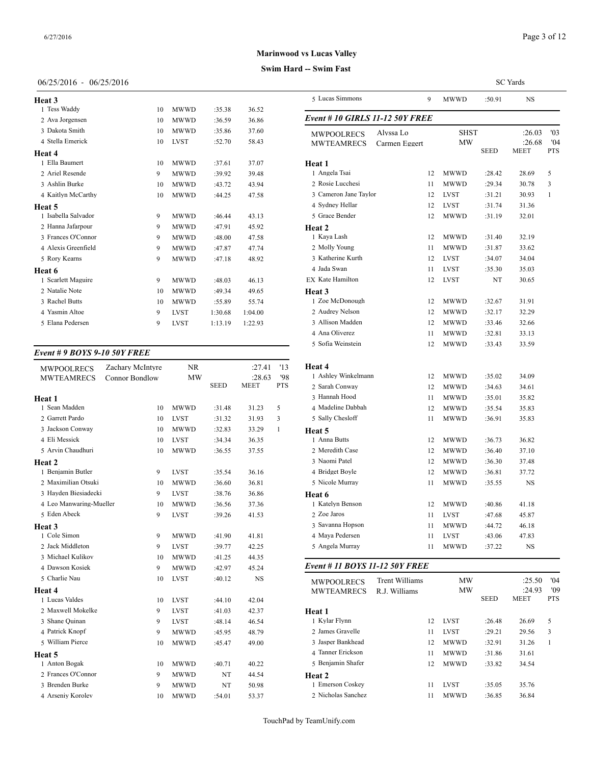## 06/25/2016 - 06/25/2016

|         | 5 Luc      |
|---------|------------|
| 36.52   |            |
| 36.86   | Event      |
| 37.60   | <b>MWI</b> |
| 58.43   | <b>MW</b>  |
|         |            |
| 37.07   | Heat 1     |
| 39.48   | $1$ Ang    |
| 43.94   | 2 Ros      |
| 47.58   | 3 Car      |
|         | 4 Syd      |
| 43.13   | 5 Gra      |
| 45.92   | Heat 2     |
| 47.58   | 1 Kay      |
| 47.74   | 2 Mo       |
| 48.92   | 3 Kat      |
|         | 4 Jad      |
| 46.13   | EX Kat     |
| 49.65   | Heat 3     |
| 55.74   | 1 Zoe      |
| 1:04.00 | 2 Auc      |
| 1:22.93 | 3 Alli     |
|         |            |

#### *Event # 9 BOYS 9-10 50Y FREE*

| Zachary McIntyre              | <b>NR</b>                         |                                         | :27.41                          | '13                                     | Heat 4                      |
|-------------------------------|-----------------------------------|-----------------------------------------|---------------------------------|-----------------------------------------|-----------------------------|
|                               |                                   |                                         |                                 |                                         | 1 Ashley Winkeln            |
|                               |                                   |                                         |                                 |                                         | 2 Sarah Conway              |
|                               |                                   |                                         |                                 |                                         | 3 Hannah Hood               |
|                               |                                   |                                         |                                 |                                         | 4 Madeline Dabba            |
|                               |                                   |                                         |                                 |                                         | 5 Sally Chesloff            |
| 10                            | <b>MWWD</b>                       | :32.83                                  | 33.29                           | 1                                       | Heat 5                      |
| 10                            | <b>LVST</b>                       | :34.34                                  | 36.35                           |                                         | 1 Anna Butts                |
| 10                            | <b>MWWD</b>                       | :36.55                                  | 37.55                           |                                         | 2 Meredith Case             |
|                               |                                   |                                         |                                 |                                         | 3 Naomi Patel               |
| 9                             | <b>LVST</b>                       | :35.54                                  | 36.16                           |                                         | 4 Bridget Boyle             |
| 10                            | <b>MWWD</b>                       | :36.60                                  | 36.81                           |                                         | 5 Nicole Murray             |
| 9                             | <b>LVST</b>                       | :38.76                                  | 36.86                           |                                         | Heat 6                      |
| 4 Leo Manwaring-Mueller<br>10 | <b>MWWD</b>                       | :36.56                                  | 37.36                           |                                         | 1 Katelyn Benson            |
| 9                             | <b>LVST</b>                       | :39.26                                  | 41.53                           |                                         | 2 Zoe Jaros                 |
|                               |                                   |                                         |                                 |                                         | 3 Savanna Hopsor            |
| 9                             | <b>MWWD</b>                       | :41.90                                  | 41.81                           |                                         | 4 Maya Pedersen             |
| 9                             | <b>LVST</b>                       | :39.77                                  | 42.25                           |                                         | 5 Angela Murray             |
| 10                            | <b>MWWD</b>                       | :41.25                                  | 44.35                           |                                         |                             |
| 9                             | <b>MWWD</b>                       | :42.97                                  | 45.24                           |                                         | Event # 11 $BOY$            |
| 10                            | <b>LVST</b>                       | :40.12                                  | <b>NS</b>                       |                                         | <b>MWPOOLRECS</b>           |
|                               |                                   |                                         |                                 |                                         | <b>MWTEAMREC</b>            |
| 10                            | <b>LVST</b>                       | :44.10                                  | 42.04                           |                                         |                             |
| 9                             | <b>LVST</b>                       | :41.03                                  | 42.37                           |                                         | Heat 1                      |
| 9                             | <b>LVST</b>                       | :48.14                                  | 46.54                           |                                         | 1 Kylar Flynn               |
| 9                             | <b>MWWD</b>                       | :45.95                                  | 48.79                           |                                         | 2 James Gravelle            |
| 10                            | <b>MWWD</b>                       | :45.47                                  | 49.00                           |                                         | 3 Jasper Bankhead           |
|                               |                                   |                                         |                                 |                                         | 4 Tanner Erickson           |
| 10                            | <b>MWWD</b>                       | :40.71                                  | 40.22                           |                                         | 5 Benjamin Shafe            |
| 9                             | <b>MWWD</b>                       | NT                                      | 44.54                           |                                         | Heat 2                      |
| 9                             | <b>MWWD</b>                       | NT                                      | 50.98                           |                                         | 1 Emerson Coskey            |
| 10                            | <b>MWWD</b>                       | :54.01                                  | 53.37                           |                                         | 2 Nicholas Sanche           |
|                               | <b>Connor Bondlow</b><br>10<br>10 | <b>MW</b><br><b>MWWD</b><br><b>LVST</b> | <b>SEED</b><br>:31.48<br>:31.32 | :28.63<br><b>MEET</b><br>31.23<br>31.93 | '98<br><b>PTS</b><br>5<br>3 |

|                                        |                            |    |                     |             | <b>SC</b> Yards          |                          |
|----------------------------------------|----------------------------|----|---------------------|-------------|--------------------------|--------------------------|
| 5 Lucas Simmons                        |                            | 9  | MWWD                | :50.91      | NS                       |                          |
| Event # 10 GIRLS 11-12 50Y FREE        |                            |    |                     |             |                          |                          |
| <b>MWPOOLRECS</b><br><b>MWTEAMRECS</b> | Alyssa Lo<br>Carmen Eggert |    | SHST<br>MW          | <b>SEED</b> | :26.03<br>:26.68<br>MEET | '03<br>'04<br><b>PTS</b> |
|                                        |                            |    |                     |             |                          |                          |
| Heat 1<br>1 Angela Tsai                |                            | 12 | <b>MWWD</b>         | :28.42      | 28.69                    | 5                        |
| 2 Rosie Lucchesi                       |                            | 11 | <b>MWWD</b>         | :29.34      | 30.78                    | 3                        |
| 3 Cameron Jane Taylor                  |                            | 12 | <b>LVST</b>         | :31.21      | 30.93                    | 1                        |
| 4 Sydney Hellar                        |                            | 12 | <b>LVST</b>         | :31.74      | 31.36                    |                          |
| 5 Grace Bender                         |                            | 12 | MWWD                | :31.19      | 32.01                    |                          |
| <b>Heat 2</b>                          |                            |    |                     |             |                          |                          |
| 1 Kaya Lash                            |                            | 12 | MWWD                | :31.40      | 32.19                    |                          |
| 2 Molly Young                          |                            | 11 | <b>MWWD</b>         | :31.87      | 33.62                    |                          |
| 3 Katherine Kurth                      |                            | 12 | <b>LVST</b>         | :34.07      | 34.04                    |                          |
| 4 Jada Swan                            |                            | 11 | <b>LVST</b>         | :35.30      | 35.03                    |                          |
| EX Kate Hamilton<br>Heat 3             |                            | 12 | <b>LVST</b>         | NT          | 30.65                    |                          |
| 1 Zoe McDonough                        |                            | 12 | MWWD                | :32.67      | 31.91                    |                          |
| 2 Audrey Nelson                        |                            | 12 | <b>MWWD</b>         | :32.17      | 32.29                    |                          |
| 3 Allison Madden                       |                            | 12 | MWWD                | :33.46      | 32.66                    |                          |
| 4 Ana Oliverez                         |                            | 11 | MWWD                | :32.81      | 33.13                    |                          |
| 5 Sofia Weinstein                      |                            | 12 | MWWD                | :33.43      | 33.59                    |                          |
| <b>Heat 4</b>                          |                            |    |                     |             |                          |                          |
| 1 Ashley Winkelmann                    |                            | 12 | MWWD                | :35.02      | 34.09                    |                          |
| 2 Sarah Conway                         |                            | 12 | <b>MWWD</b>         | :34.63      | 34.61                    |                          |
| 3 Hannah Hood                          |                            | 11 | MWWD                | :35.01      | 35.82                    |                          |
| 4 Madeline Dabbah                      |                            | 12 | MWWD                | :35.54      | 35.83                    |                          |
| 5 Sally Chesloff                       |                            | 11 | MWWD                | :36.91      | 35.83                    |                          |
| Heat 5                                 |                            |    |                     |             |                          |                          |
| 1 Anna Butts                           |                            | 12 | MWWD                | :36.73      | 36.82                    |                          |
| 2 Meredith Case                        |                            | 12 | <b>MWWD</b>         | :36.40      | 37.10                    |                          |
| 3 Naomi Patel                          |                            | 12 | MWWD                | :36.30      | 37.48                    |                          |
| 4 Bridget Boyle                        |                            | 12 | MWWD                | :36.81      | 37.72                    |                          |
| 5 Nicole Murray                        |                            | 11 | MWWD                | :35.55      | NS                       |                          |
| Heat 6<br>1 Katelyn Benson             |                            | 12 |                     | :40.86      | 41.18                    |                          |
| 2 Zoe Jaros                            |                            | 11 | MWWD<br><b>LVST</b> | :47.68      |                          |                          |
| 3 Savanna Hopson                       |                            | 11 | MWWD                | :44.72      | 45.87<br>46.18           |                          |
| 4 Maya Pedersen                        |                            | 11 | LVST                | :43.06      | 47.83                    |                          |
| 5 Angela Murray                        |                            | 11 | <b>MWWD</b>         | :37.22      | NS                       |                          |
| Event # 11 BOYS 11-12 50Y FREE         |                            |    |                     |             |                          |                          |
|                                        | Trent Williams             |    | ΜW                  |             | :25.50                   | '04                      |
| <b>MWPOOLRECS</b><br><b>MWTEAMRECS</b> | R.J. Williams              |    | ΜW                  |             | :24.93                   | '09                      |
|                                        |                            |    |                     | SEED        | MEET                     | PTS                      |
| Heat 1                                 |                            |    |                     |             |                          |                          |
| 1 Kylar Flynn                          |                            | 12 | <b>LVST</b>         | :26.48      | 26.69                    | 5                        |
| 2 James Gravelle                       |                            | 11 | LVST                | :29.21      | 29.56                    | 3                        |
| 3 Jasper Bankhead                      |                            | 12 | MWWD                | :32.91      | 31.26                    | 1                        |
| 4 Tanner Erickson                      |                            | 11 | MWWD                | :31.86      | 31.61                    |                          |
| 5 Benjamin Shafer                      |                            | 12 | MWWD                | :33.82      | 34.54                    |                          |

1 Emerson Coskey 11 LVST :35.05 35.76 Nicholas Sanchez 11 MWWD :36.85 36.84

## **Swim Hard -- Swim Fast**

**Heat 2**<br>1 Emerson Coskey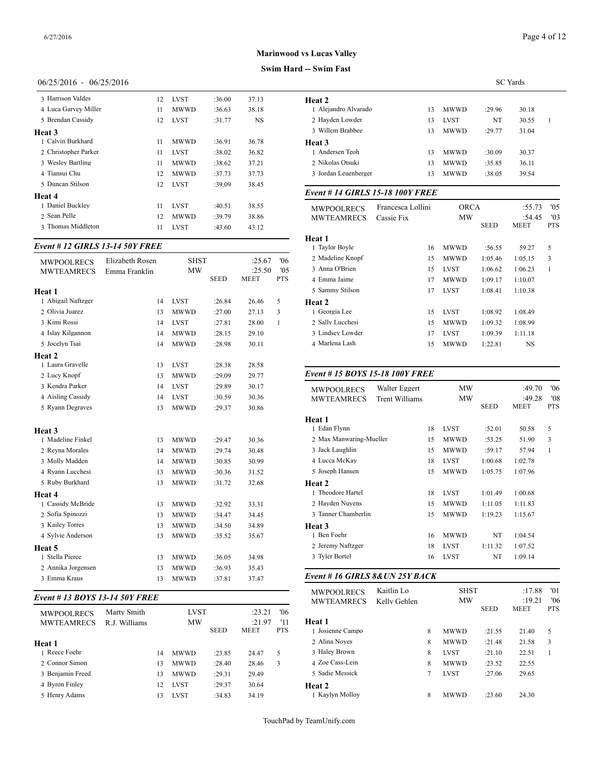#### **Swim Hard -- Swim Fast**

## 06/25/2016 - 06/25/2016

| 3 Harrison Valdes    | 12 | <b>LVST</b> | :36.00 | 37.13 | Heat 2      |
|----------------------|----|-------------|--------|-------|-------------|
| 4 Luca Garvey Miller | 11 | <b>MWWD</b> | :36.63 | 38.18 | 1 Alejan    |
| 5 Brendan Cassidy    | 12 | <b>LVST</b> | :31.77 | NS    | 2 Hayde     |
| Heat 3               |    |             |        |       | 3 Willen    |
| 1 Calvin Burkhard    | 11 | <b>MWWD</b> | :36.91 | 36.78 | Heat 3      |
| 2 Christopher Parker | 11 | <b>LVST</b> | :38.02 | 36.82 | 1 Ander     |
| 3 Wesley Bartling    | 11 | <b>MWWD</b> | :38.62 | 37.21 | 2 Nikola    |
| 4 Tiansui Chu        | 12 | <b>MWWD</b> | :37.73 | 37.73 | 3 Jordan    |
| 5 Duncan Stilson     | 12 | <b>LVST</b> | :39.09 | 38.45 |             |
| Heat 4               |    |             |        |       | Event #     |
| 1 Daniel Buckley     | 11 | <b>LVST</b> | :40.51 | 38.55 | <b>MWPO</b> |
| 2 Sean Pelle         | 12 | <b>MWWD</b> | :39.79 | 38.86 | <b>MWTE</b> |
| 3 Thomas Middleton   | 11 | <b>LVST</b> | :43.60 | 43.12 |             |
|                      |    |             |        |       |             |

## *Event # 12 GIRLS 13-14 50Y FREE*

| <b>MWPOOLRECS</b>           | Elizabeth Rosen | <b>SHST</b> |             | :25.67      | 06'        | 2 Madeline Knopf       |
|-----------------------------|-----------------|-------------|-------------|-------------|------------|------------------------|
| <b>MWTEAMRECS</b>           | Emma Franklin   | <b>MW</b>   |             | :25.50      | '05        | 3 Anna O'Brien         |
|                             |                 |             | <b>SEED</b> | <b>MEET</b> | <b>PTS</b> | 4 Emma Jaime           |
| Heat 1                      |                 |             |             |             |            | 5 Sammy Stilson        |
| 1 Abigail Naftzger          | 14              | <b>LVST</b> | :26.84      | 26.46       | 5          | Heat 2                 |
| 2 Olivia Juarez             | 13              | <b>MWWD</b> | :27.00      | 27.13       | 3          | 1 Georgia Lee          |
| 3 Kimi Rossi                | 14              | <b>LVST</b> | :27.81      | 28.00       | 1          | 2 Sally Lucchesi       |
| 4 Islay Kilgannon           | 14              | <b>MWWD</b> | :28.15      | 29.10       |            | 3 Lindsey Lowder       |
| 5 Jocelyn Tsai              | 14              | <b>MWWD</b> | :28.98      | 30.11       |            | 4 Marlena Lash         |
| Heat 2                      |                 |             |             |             |            |                        |
| 1 Laura Gravelle            | 13              | <b>LVST</b> | :28.38      | 28.58       |            |                        |
| 2 Lucy Knopf                | 13              | <b>MWWD</b> | :29.09      | 29.77       |            | Event # $15 BOY$       |
| 3 Kendra Parker             | 14              | <b>LVST</b> | :29.89      | 30.17       |            | <b>MWPOOLRECS</b>      |
| 4 Aisling Cassidy           | 14              | <b>LVST</b> | :30.59      | 30.36       |            | <b>MWTEAMREC</b>       |
| 5 Ryann Degraves            | 13              | MWWD        | :29.37      | 30.86       |            |                        |
|                             |                 |             |             |             |            | Heat 1<br>1 Edan Flynn |
| Heat 3<br>1 Madeline Finkel | 13              | <b>MWWD</b> | :29.47      | 30.36       |            | 2 Max Manwaring        |
| 2 Reyna Morales             | 14              | MWWD        | :29.74      | 30.48       |            | 3 Jack Laughlin        |
| 3 Molly Madden              | 14              | <b>MWWD</b> | :30.85      | 30.99       |            | 4 Lucca McKay          |
| 4 Ryann Lucchesi            | 13              | MWWD        | :30.36      | 31.52       |            | 5 Joseph Hansen        |
| 5 Ruby Burkhard             | 13              | MWWD        | :31.72      | 32.68       |            | Heat 2                 |
| Heat 4                      |                 |             |             |             |            | 1 Theodore Hartel      |
| 1 Cassidy McBride           | 13              | <b>MWWD</b> | :32.92      | 33.31       |            | 2 Hayden Nuyens        |
| 2 Sofia Spinozzi            | 13              | MWWD        | :34.47      | 34.45       |            | 3 Tanner Chamber       |
| 3 Kailey Torres             | 13              | MWWD        | :34.50      | 34.89       |            | Heat 3                 |
| 4 Sylvie Anderson           | 13              | <b>MWWD</b> | :35.52      | 35.67       |            | 1 Ben Foehr            |
| Heat 5                      |                 |             |             |             |            | 2 Jeremy Naftzger      |
| 1 Stella Pierce             | 13              | <b>MWWD</b> | :36.05      | 34.98       |            | 3 Tyler Bortel         |
| 2 Annika Jorgensen          | 13              | <b>MWWD</b> | :36.93      | 35.43       |            |                        |
| 3 Emma Kraus                | 13              | <b>MWWD</b> | :37.81      | 37.47       |            | Event # 16 GIRI        |
|                             |                 |             |             |             |            |                        |

#### *Event # 13 BOYS 13-14 50Y FREE*

| <b>MWPOOLRECS</b> | Marty Smith   |    | <b>LVST</b> |             | :23.21      | '06        |                  |
|-------------------|---------------|----|-------------|-------------|-------------|------------|------------------|
| <b>MWTEAMRECS</b> | R.J. Williams |    | MW          |             | :21.97      | '11        | <b>Heat 1</b>    |
|                   |               |    |             | <b>SEED</b> | <b>MEET</b> | <b>PTS</b> | 1 Josienne Campo |
| Heat 1            |               |    |             |             |             |            | 2 Alina Noyes    |
| 1 Reece Foehr     |               | 14 | <b>MWWD</b> | :23.85      | 24.47       | 5          | 3 Haley Brown    |
| 2. Connor Simon   |               | 13 | <b>MWWD</b> | :28.40      | 28.46       | 3          | 4 Zoe Cass-Lein  |
| 3 Benjamin Freed  |               | 13 | <b>MWWD</b> | :29.31      | 29.49       |            | 5 Sadie Messick  |
| 4 Byron Finley    |               | 12 | <b>LVST</b> | :29.37      | 30.64       |            | Heat 2           |
| 5 Henry Adams     |               | 13 | <b>LVST</b> | :34.83      | 34.19       |            | 1 Kaylyn Molloy  |
|                   |               |    |             |             |             |            |                  |

|                      | <b>SC</b> Yards |             |        |       |  |  |  |  |
|----------------------|-----------------|-------------|--------|-------|--|--|--|--|
| Heat 2               |                 |             |        |       |  |  |  |  |
| 1 Alejandro Alvarado | 13              | <b>MWWD</b> | :29.96 | 30.18 |  |  |  |  |
| 2 Hayden Lowder      | 13              | <b>LVST</b> | NT     | 30.55 |  |  |  |  |
| 3 Willem Brabbee     | 13              | <b>MWWD</b> | :29.77 | 31.04 |  |  |  |  |
| Heat 3               |                 |             |        |       |  |  |  |  |
| 1 Andersen Teoh      | 13              | <b>MWWD</b> | :30.09 | 30.37 |  |  |  |  |
| 2 Nikolas Otsuki     | 13              | <b>MWWD</b> | :35.85 | 36.11 |  |  |  |  |
| 3 Jordan Leuenberger | 13              | <b>MWWD</b> | :38.05 | 39.54 |  |  |  |  |
|                      |                 |             |        |       |  |  |  |  |

## *Event # 14 GIRLS 15-18 100Y FREE*

| <b>MWPOOLRECS</b><br><b>MWTEAMRECS</b> | Francesca Lollini<br>Cassie Fix | <b>ORCA</b><br>MW |             | :55.73<br>:54.45 | '05<br>'03 |
|----------------------------------------|---------------------------------|-------------------|-------------|------------------|------------|
|                                        |                                 |                   | <b>SEED</b> | <b>MEET</b>      | <b>PTS</b> |
| Heat 1                                 |                                 |                   |             |                  |            |
| 1 Taylor Boyle                         | 16                              | <b>MWWD</b>       | :56.55      | 59.27            | 5          |
| 2 Madeline Knopf                       | 15                              | MWWD              | 1:05.46     | 1:05.15          | 3          |
| 3 Anna O'Brien                         | 15                              | <b>LVST</b>       | 1:06.62     | 1:06.23          | 1          |
| 4 Emma Jaime                           | 17                              | <b>MWWD</b>       | 1:09.17     | 1:10.07          |            |
| 5 Sammy Stilson                        | 17                              | <b>LVST</b>       | 1:08.41     | 1:10.38          |            |
| Heat 2                                 |                                 |                   |             |                  |            |
| 1 Georgia Lee                          | 15                              | <b>LVST</b>       | 1:08.92     | 1:08.49          |            |
| 2 Sally Lucchesi                       | 15                              | <b>MWWD</b>       | 1:09.32     | 1:08.99          |            |
| 3 Lindsey Lowder                       | 17                              | <b>LVST</b>       | 1:09.39     | 1:11.18          |            |
| 4 Marlena Lash                         | 15                              | MWWD              | 1:22.81     | <b>NS</b>        |            |
|                                        |                                 |                   |             |                  |            |

## *Event # 15 BOYS 15-18 100Y FREE*

| <b>MWPOOLRECS</b><br><b>MWTEAMRECS</b> | Walter Eggert<br><b>Trent Williams</b> |    | MW<br>MW    |             | :49.70<br>:49.28 | '06<br>'08 |
|----------------------------------------|----------------------------------------|----|-------------|-------------|------------------|------------|
|                                        |                                        |    |             | <b>SEED</b> | <b>MEET</b>      | <b>PTS</b> |
| Heat 1                                 |                                        |    |             |             |                  |            |
| 1 Edan Flynn                           |                                        | 18 | <b>LVST</b> | :52.01      | 50.58            | 5          |
| 2 Max Manwaring-Mueller                |                                        | 15 | <b>MWWD</b> | :53.25      | 51.90            | 3          |
| 3 Jack Laughlin                        |                                        | 15 | <b>MWWD</b> | :59.17      | 57.94            | 1          |
| 4 Lucca McKay                          |                                        | 18 | <b>LVST</b> | 1:00.68     | 1:02.78          |            |
| 5 Joseph Hansen                        |                                        | 15 | <b>MWWD</b> | 1:05.75     | 1:07.96          |            |
| <b>Heat 2</b>                          |                                        |    |             |             |                  |            |
| 1 Theodore Hartel                      |                                        | 18 | <b>LVST</b> | 1:01.49     | 1:00.68          |            |
| 2 Hayden Nuyens                        |                                        | 15 | <b>MWWD</b> | 1:11.05     | 1:11.83          |            |
| 3 Tanner Chamberlin                    |                                        | 15 | <b>MWWD</b> | 1:19.23     | 1:15.67          |            |
| <b>Heat 3</b>                          |                                        |    |             |             |                  |            |
| 1 Ben Foehr                            |                                        | 16 | <b>MWWD</b> | NT          | 1:04.54          |            |
| 2 Jeremy Naftzger                      |                                        | 18 | <b>LVST</b> | 1:11.32     | 1:07.52          |            |
| 3 Tyler Bortel                         |                                        | 16 | <b>LVST</b> | NT          | 1:09.14          |            |
|                                        |                                        |    |             |             |                  |            |

## *Event # 16 GIRLS 8&UN 25Y BACK*

| <b>MWPOOLRECS</b><br><b>MWTEAMRECS</b> | Kaitlin Lo<br>Kelly Gehlen |   | <b>SHST</b><br>MW<br><b>SEED</b> |        | :17.88<br>:19.21<br><b>MEET</b> | '01<br>06'<br><b>PTS</b> |
|----------------------------------------|----------------------------|---|----------------------------------|--------|---------------------------------|--------------------------|
| Heat 1                                 |                            |   |                                  |        |                                 |                          |
| 1 Josienne Campo                       |                            | 8 | <b>MWWD</b>                      | :21.55 | 21.40                           | 5                        |
| 2 Alina Noyes                          |                            | 8 | <b>MWWD</b>                      | :21.48 | 21.58                           | 3                        |
| 3 Haley Brown                          |                            | 8 | <b>LVST</b>                      | :21.10 | 22.51                           | 1                        |
| 4 Zoe Cass-Lein                        |                            | 8 | <b>MWWD</b>                      | :23.52 | 22.55                           |                          |
| 5 Sadie Messick                        |                            | 7 | <b>LVST</b>                      | :27.06 | 29.65                           |                          |
| <b>Heat 2</b>                          |                            |   |                                  |        |                                 |                          |
| 1 Kaylyn Molloy                        |                            | 8 | <b>MWWD</b>                      | :23.60 | 24.30                           |                          |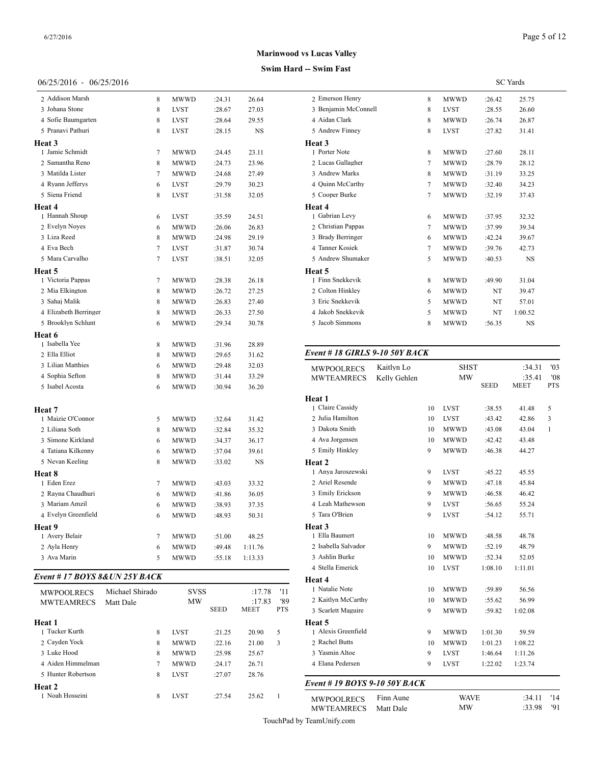# 06/25/2016 - 06/25/2016

| 2 Addison Marsh       | 8              | <b>MWWD</b> | :24.31 | 26.64     | 2 Emers     |
|-----------------------|----------------|-------------|--------|-----------|-------------|
| 3 Johana Stone        | 8              | LVST        | :28.67 | 27.03     | 3 Benjar    |
| 4 Sofie Baumgarten    | 8              | <b>LVST</b> | :28.64 | 29.55     | 4 Aidan     |
| 5 Pranavi Pathuri     | 8              | <b>LVST</b> | :28.15 | <b>NS</b> | 5 Andre     |
| <b>Heat 3</b>         |                |             |        |           | Heat 3      |
| 1 Jamie Schmidt       | 7              | MWWD        | :24.45 | 23.11     | 1 Porter    |
| 2 Samantha Reno       | 8              | MWWD        | :24.73 | 23.96     | 2 Lucas     |
| 3 Matilda Lister      | $\overline{7}$ | <b>MWWD</b> | :24.68 | 27.49     | 3 Andre     |
| 4 Ryann Jefferys      | 6              | LVST        | :29.79 | 30.23     | 4 Quinn     |
| 5 Siena Friend        | 8              | <b>LVST</b> | :31.58 | 32.05     | 5 Coope     |
| <b>Heat 4</b>         |                |             |        |           | Heat 4      |
| 1 Hannah Shoup        | 6              | <b>LVST</b> | :35.59 | 24.51     | 1 Gabria    |
| 2 Evelyn Noyes        | 6              | MWWD        | :26.06 | 26.83     | 2 Christ    |
| 3 Liza Reed           | 8              | MWWD        | :24.98 | 29.19     | 3 Brady     |
| 4 Eva Bech            | 7              | <b>LVST</b> | :31.87 | 30.74     | 4 Tanner    |
| 5 Mara Carvalho       | 7              | <b>LVST</b> | :38.51 | 32.05     | 5 Andre     |
| Heat 5                |                |             |        |           | Heat 5      |
| 1 Victoria Pappas     | 7              | MWWD        | :28.38 | 26.18     | 1 Finn S    |
| 2 Mia Elkington       | 8              | MWWD        | :26.72 | 27.25     | 2 Coltor    |
| 3 Sahaj Malik         | 8              | <b>MWWD</b> | :26.83 | 27.40     | 3 Eric S    |
| 4 Elizabeth Berringer | 8              | MWWD        | :26.33 | 27.50     | 4 Jakob     |
| 5 Brooklyn Schlunt    | 6              | <b>MWWD</b> | :29.34 | 30.78     | 5 Jacob     |
| Heat 6                |                |             |        |           |             |
| 1 Isabella Yee        | 8              | <b>MWWD</b> | :31.96 | 28.89     |             |
| 2 Ella Elliot         | 8              | MWWD        | :29.65 | 31.62     | Event #     |
| 3 Lilian Matthies     | 6              | MWWD        | :29.48 | 32.03     | <b>MWPO</b> |
| 4 Sophia Sefton       | 8              | <b>MWWD</b> | :31.44 | 33.29     | MWTE.       |
| 5 Isabel Acosta       | 6              | <b>MWWD</b> | :30.94 | 36.20     |             |
|                       |                |             |        |           | Heat 1      |
| Heat 7                |                |             |        |           | 1 Claire    |
| 1 Maizie O'Connor     | 5              | <b>MWWD</b> | :32.64 | 31.42     | 2 Julia H   |
| 2 Liliana Soth        | 8              | MWWD        | :32.84 | 35.32     | 3 Dakota    |
| 3 Simone Kirkland     | 6              | MWWD        | :34.37 | 36.17     | 4 Ava Jo    |
| 4 Tatiana Kilkenny    | 6              | <b>MWWD</b> | :37.04 | 39.61     | 5 Emily     |
| 5 Nevan Keeling       | 8              | <b>MWWD</b> | :33.02 | <b>NS</b> | Heat 2      |
| Heat 8                |                |             |        |           | 1 Anya.     |
| 1 Eden Erez           | 7              | MWWD        | :43.03 | 33.32     | 2 Ariel I   |
| 2 Rayna Chaudhuri     | 6              | MWWD        | :41.86 | 36.05     | 3 Emily     |
| 3 Mariam Amzil        | 6              | <b>MWWD</b> | :38.93 | 37.35     | 4 Leah N    |
| 4 Evelyn Greenfield   | 6              | <b>MWWD</b> | :48.93 | 50.31     | 5 Tara C    |
| Heat 9                |                |             |        |           | Heat 3      |
| 1 Avery Belair        | 7              | <b>MWWD</b> | :51.00 | 48.25     | 1 Ella B    |
| 2 Ayla Henry          | 6              | <b>MWWD</b> | :49.48 | 1:11.76   | 2 Isabell   |
| 3 Ava Marin           | 5              | <b>MWWD</b> | :55.18 | 1:13.33   | 3 Ashlin    |
|                       |                |             |        |           | 4 Stella    |

#### *Event # 17 BOYS 8&UN 25Y BACK*

| <b>MWPOOLRECS</b>  | Michael Shirado | <b>SVSS</b> |             | :17.78      | '11           | 1 Natalie Note     |
|--------------------|-----------------|-------------|-------------|-------------|---------------|--------------------|
| <b>MWTEAMRECS</b>  | Matt Dale       |             | <b>MW</b>   |             | '89<br>:17.83 | 2 Kaitlyn McCartl  |
|                    |                 |             | <b>SEED</b> | <b>MEET</b> | <b>PTS</b>    | 3 Scarlett Maguire |
| Heat 1             |                 |             |             |             |               | Heat 5             |
| 1 Tucker Kurth     | 8               | <b>LVST</b> | :21.25      | 20.90       | 5             | 1 Alexis Greenfiel |
| 2 Cayden Yock      | 8               | <b>MWWD</b> | :22.16      | 21.00       | 3             | 2 Rachel Butts     |
| 3 Luke Hood        | 8               | <b>MWWD</b> | :25.98      | 25.67       |               | 3 Yasmin Altoe     |
| 4 Aiden Himmelman  | 7               | <b>MWWD</b> | :24.17      | 26.71       |               | 4 Elana Pedersen   |
| 5 Hunter Robertson | 8               | <b>LVST</b> | :27.07      | 28.76       |               |                    |
| Heat 2             |                 |             |             |             |               | Event # 19 BOY     |
| 1 Noah Hosseini    | 8               | <b>LVST</b> | :27.54      | 25.62       |               | <b>MWPOOLRECS</b>  |

## SC Yards 2 Emerson Henry 8 MWWD :26.42 25.75 Benjamin McConnell 8 LVST :28.55 26.60 Aidan Clark 8 MWWD :26.74 26.87 Andrew Finney 8 LVST :27.82 31.41 **Heat 3** Porter Note 8 MWWD :27.60 28.11 Lucas Gallagher 7 MWWD :28.79 28.12 Andrew Marks 8 MWWD :31.19 33.25 Quinn McCarthy 7 MWWD :32.40 34.23 Cooper Burke 7 MWWD :32.19 37.43 **Heat 4** Gabrian Levy 6 MWWD :37.95 32.32 2 Christian Pappas 7 MWWD :37.99 39.34 Brady Berringer 6 MWWD :42.24 39.67 Tanner Kosiek 7 MWWD :39.76 42.73 5 Andrew Shumaker 5 MWWD :40.53 NS **Heat 5** 1 Finn Snekkevik 8 MWWD :49.90 31.04 2 Colton Hinkley 6 MWWD NT 39.47 3 Eric Snekkevik 5 MWWD NT 57.01 Jakob Snekkevik 5 MWWD NT 1:00.52 Jacob Simmons 8 MWWD :56.35 NS

### *Event # 18 GIRLS 9-10 50Y BACK*

**Swim Hard -- Swim Fast Marinwood vs Lucas Valley**

| <b>MW</b><br>:35.41<br>'08<br><b>MWTEAMRECS</b><br>Kelly Gehlen<br><b>SEED</b><br><b>MEET</b><br><b>PTS</b><br>Heat 1<br>1 Claire Cassidy<br><b>LVST</b><br>5<br>10<br>:38.55<br>41.48<br>2 Julia Hamilton<br><b>LVST</b><br>10<br>:43.42<br>42.86<br>3<br>3 Dakota Smith<br>10<br><b>MWWD</b><br>:43.08<br>43.04<br>$\mathbf{1}$<br>4 Ava Jorgensen<br><b>MWWD</b><br>:42.42<br>43.48<br>10<br>5 Emily Hinkley<br>9<br><b>MWWD</b><br>:46.38<br>44.27<br>Heat 2<br>1 Anya Jaroszewski<br>9<br><b>LVST</b><br>:45.22<br>45.55<br>2 Ariel Resende<br>9<br><b>MWWD</b><br>:47.18<br>45.84<br>3 Emily Erickson<br><b>MWWD</b><br>9<br>:46.58<br>46.42<br>4 Leah Mathewson<br>9<br><b>LVST</b><br>:56.65<br>55.24 |
|---------------------------------------------------------------------------------------------------------------------------------------------------------------------------------------------------------------------------------------------------------------------------------------------------------------------------------------------------------------------------------------------------------------------------------------------------------------------------------------------------------------------------------------------------------------------------------------------------------------------------------------------------------------------------------------------------------------|
|                                                                                                                                                                                                                                                                                                                                                                                                                                                                                                                                                                                                                                                                                                               |
|                                                                                                                                                                                                                                                                                                                                                                                                                                                                                                                                                                                                                                                                                                               |
|                                                                                                                                                                                                                                                                                                                                                                                                                                                                                                                                                                                                                                                                                                               |
|                                                                                                                                                                                                                                                                                                                                                                                                                                                                                                                                                                                                                                                                                                               |
|                                                                                                                                                                                                                                                                                                                                                                                                                                                                                                                                                                                                                                                                                                               |
|                                                                                                                                                                                                                                                                                                                                                                                                                                                                                                                                                                                                                                                                                                               |
|                                                                                                                                                                                                                                                                                                                                                                                                                                                                                                                                                                                                                                                                                                               |
|                                                                                                                                                                                                                                                                                                                                                                                                                                                                                                                                                                                                                                                                                                               |
|                                                                                                                                                                                                                                                                                                                                                                                                                                                                                                                                                                                                                                                                                                               |
|                                                                                                                                                                                                                                                                                                                                                                                                                                                                                                                                                                                                                                                                                                               |
|                                                                                                                                                                                                                                                                                                                                                                                                                                                                                                                                                                                                                                                                                                               |
|                                                                                                                                                                                                                                                                                                                                                                                                                                                                                                                                                                                                                                                                                                               |
| 5 Tara O'Brien<br>9<br><b>LVST</b><br>:54.12<br>55.71                                                                                                                                                                                                                                                                                                                                                                                                                                                                                                                                                                                                                                                         |
| Heat 3                                                                                                                                                                                                                                                                                                                                                                                                                                                                                                                                                                                                                                                                                                        |
| 1 Ella Baumert<br><b>MWWD</b><br>:48.58<br>10<br>48.78                                                                                                                                                                                                                                                                                                                                                                                                                                                                                                                                                                                                                                                        |
| 2 Isabella Salvador<br><b>MWWD</b><br>9<br>:52.19<br>48.79                                                                                                                                                                                                                                                                                                                                                                                                                                                                                                                                                                                                                                                    |
| 3 Ashlin Burke<br><b>MWWD</b><br>:52.34<br>52.05<br>10                                                                                                                                                                                                                                                                                                                                                                                                                                                                                                                                                                                                                                                        |
| 4 Stella Emerick<br><b>LVST</b><br>1:08.10<br>1:11.01<br>10                                                                                                                                                                                                                                                                                                                                                                                                                                                                                                                                                                                                                                                   |
| Heat 4                                                                                                                                                                                                                                                                                                                                                                                                                                                                                                                                                                                                                                                                                                        |
| 1 Natalie Note<br><b>MWWD</b><br>56.56<br>:59.89<br>10                                                                                                                                                                                                                                                                                                                                                                                                                                                                                                                                                                                                                                                        |
| 2 Kaitlyn McCarthy<br><b>MWWD</b><br>:55.62<br>56.99<br>10                                                                                                                                                                                                                                                                                                                                                                                                                                                                                                                                                                                                                                                    |
| 3 Scarlett Maguire<br>9<br><b>MWWD</b><br>:59.82<br>1:02.08                                                                                                                                                                                                                                                                                                                                                                                                                                                                                                                                                                                                                                                   |
| Heat 5                                                                                                                                                                                                                                                                                                                                                                                                                                                                                                                                                                                                                                                                                                        |
| 1 Alexis Greenfield<br>9<br><b>MWWD</b><br>1:01.30<br>59.59                                                                                                                                                                                                                                                                                                                                                                                                                                                                                                                                                                                                                                                   |
| 2 Rachel Butts<br><b>MWWD</b><br>1:01.23<br>1:08.22<br>10                                                                                                                                                                                                                                                                                                                                                                                                                                                                                                                                                                                                                                                     |
| 3 Yasmin Altoe<br>9<br><b>LVST</b><br>1:46.64<br>1:11.26                                                                                                                                                                                                                                                                                                                                                                                                                                                                                                                                                                                                                                                      |
| 4 Elana Pedersen<br>9<br><b>LVST</b><br>1:22.02<br>1:23.74                                                                                                                                                                                                                                                                                                                                                                                                                                                                                                                                                                                                                                                    |
| Event # 19 BOYS 9-10 50Y BACK                                                                                                                                                                                                                                                                                                                                                                                                                                                                                                                                                                                                                                                                                 |

MWPOOLRECS Finn Aune WAVE :34.11 '14<br>MWTEAMRECS Matt Dale MW :33.98 '91 MWTEAMRECS Matt Dale

Page 5 of 12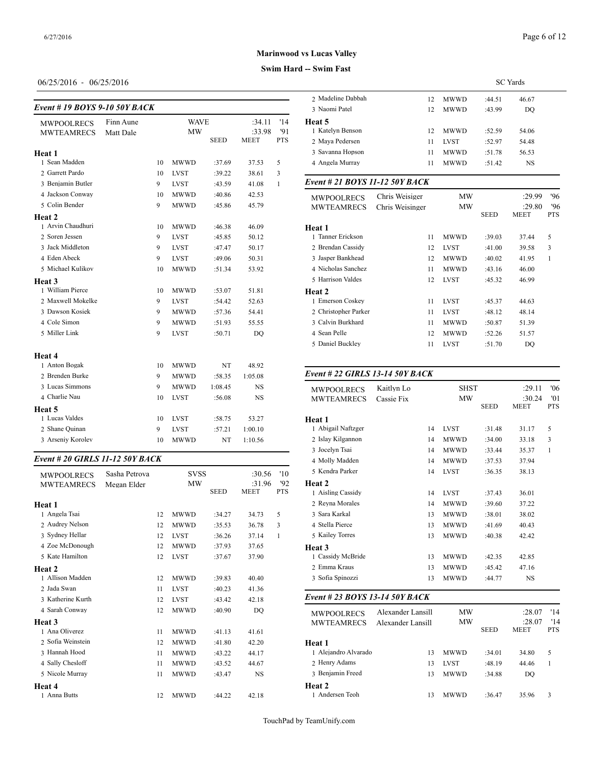## 06/25/2016 - 06/25/2016

## *Event # 19 BOYS 9-10 50Y BACK*

|                   |           |    |             |             |             |              | $_3$ required and               | 14              | <b>INI W W D</b> | .43.99      | DV.         |
|-------------------|-----------|----|-------------|-------------|-------------|--------------|---------------------------------|-----------------|------------------|-------------|-------------|
| <b>MWPOOLRECS</b> | Finn Aune |    | <b>WAVE</b> |             | :34.11      | '14          | Heat 5                          |                 |                  |             |             |
| <b>MWTEAMRECS</b> | Matt Dale |    | <b>MW</b>   |             | :33.98      | '91          | 1 Katelyn Benson                | 12              | <b>MWWD</b>      | :52.59      | 54.06       |
|                   |           |    |             | <b>SEED</b> | <b>MEET</b> | PTS          | 2 Maya Pedersen                 | 11              | <b>LVST</b>      | :52.97      | 54.48       |
| Heat 1            |           |    |             |             |             |              | 3 Savanna Hopson                | 11              | <b>MWWD</b>      | :51.78      | 56.53       |
| 1 Sean Madden     |           | 10 | <b>MWWD</b> | :37.69      | 37.53       | 5            | 4 Angela Murray                 | 11              | <b>MWWD</b>      | :51.42      | <b>NS</b>   |
| 2 Garrett Pardo   |           | 10 | <b>LVST</b> | :39.22      | 38.61       | 3            |                                 |                 |                  |             |             |
| 3 Benjamin Butler |           | 9  | <b>LVST</b> | :43.59      | 41.08       | $\mathbf{1}$ | Event # 21 BOYS 11-12 50Y BACK  |                 |                  |             |             |
| 4 Jackson Conway  |           | 10 | <b>MWWD</b> | :40.86      | 42.53       |              | <b>MWPOOLRECS</b>               | Chris Weisiger  | <b>MW</b>        |             | :29.9       |
| 5 Colin Bender    |           | 9  | <b>MWWD</b> | :45.86      | 45.79       |              | <b>MWTEAMRECS</b>               | Chris Weisinger | <b>MW</b>        |             | :29.8       |
| Heat 2            |           |    |             |             |             |              |                                 |                 |                  | <b>SEED</b> | <b>MEET</b> |
| 1 Arvin Chaudhuri |           | 10 | <b>MWWD</b> | :46.38      | 46.09       |              | Heat 1                          |                 |                  |             |             |
| 2 Soren Jessen    |           | 9  | <b>LVST</b> | :45.85      | 50.12       |              | 1 Tanner Erickson               | 11              | <b>MWWD</b>      | :39.03      | 37.44       |
| 3 Jack Middleton  |           | 9  | <b>LVST</b> | :47.47      | 50.17       |              | 2 Brendan Cassidy               | 12              | <b>LVST</b>      | :41.00      | 39.58       |
| 4 Eden Abeck      |           | 9  | <b>LVST</b> | :49.06      | 50.31       |              | 3 Jasper Bankhead               | 12              | <b>MWWD</b>      | :40.02      | 41.95       |
| 5 Michael Kulikov |           | 10 | <b>MWWD</b> | :51.34      | 53.92       |              | 4 Nicholas Sanchez              | 11              | <b>MWWD</b>      | :43.16      | 46.00       |
| Heat 3            |           |    |             |             |             |              | 5 Harrison Valdes               | 12              | <b>LVST</b>      | :45.32      | 46.99       |
| 1 William Pierce  |           | 10 | <b>MWWD</b> | :53.07      | 51.81       |              | Heat 2                          |                 |                  |             |             |
| 2 Maxwell Mokelke |           | 9  | <b>LVST</b> | :54.42      | 52.63       |              | 1 Emerson Coskey                | 11              | <b>LVST</b>      | :45.37      | 44.63       |
| 3 Dawson Kosiek   |           | 9  | <b>MWWD</b> | :57.36      | 54.41       |              | 2 Christopher Parker            | 11              | <b>LVST</b>      | :48.12      | 48.14       |
| 4 Cole Simon      |           | 9  | <b>MWWD</b> | :51.93      | 55.55       |              | 3 Calvin Burkhard               | 11              | <b>MWWD</b>      | :50.87      | 51.39       |
| 5 Miller Link     |           | 9  | <b>LVST</b> | :50.71      | DQ          |              | 4 Sean Pelle                    | 12              | <b>MWWD</b>      | :52.26      | 51.57       |
|                   |           |    |             |             |             |              | 5 Daniel Buckley                | 11              | <b>LVST</b>      | :51.70      | <b>DQ</b>   |
| Heat 4            |           |    |             |             |             |              |                                 |                 |                  |             |             |
| 1 Anton Bogak     |           | 10 | <b>MWWD</b> | NT          | 48.92       |              |                                 |                 |                  |             |             |
| 2 Brenden Burke   |           | 9  | <b>MWWD</b> | :58.35      | 1:05.08     |              | Event # 22 GIRLS 13-14 50Y BACK |                 |                  |             |             |
| 3 Lucas Simmons   |           | 9  | <b>MWWD</b> | 1:08.45     | <b>NS</b>   |              | <b>MWPOOLRECS</b>               | Kaitlyn Lo      | <b>SHST</b>      |             | :29.1       |
| 4 Charlie Nau     |           | 10 | <b>LVST</b> | :56.08      | <b>NS</b>   |              | <b>MWTEAMRECS</b>               | Cassie Fix      | <b>MW</b>        |             | :30.2       |
| Heat 5            |           |    |             |             |             |              |                                 |                 |                  | <b>SEED</b> | <b>MEET</b> |
| 1 Lucas Valdes    |           | 10 | <b>LVST</b> | :58.75      | 53.27       |              | Heat 1                          |                 |                  |             |             |
| 2 Shane Quinan    |           | 9  | <b>LVST</b> | :57.21      | 1:00.10     |              | 1 Abigail Naftzger              | 14              | <b>LVST</b>      | :31.48      | 31.17       |
| 3 Arseniy Korolev |           | 10 | <b>MWWD</b> | NT          | 1:10.56     |              | 2 Islay Kilgannon               | 14              | <b>MWWD</b>      | :34.00      | 33.18       |
|                   |           |    |             |             |             |              |                                 |                 |                  |             |             |

### *Event # 20 GIRLS 11-12 50Y BACK*

| <b>MWPOOLRECS</b> | Sasha Petrova |    | <b>SVSS</b> |             | :30.56      | '10        | 5 Kendra Parker   |
|-------------------|---------------|----|-------------|-------------|-------------|------------|-------------------|
| <b>MWTEAMRECS</b> | Megan Elder   |    | <b>MW</b>   |             | :31.96      | 92         | Heat 2            |
|                   |               |    |             | <b>SEED</b> | <b>MEET</b> | <b>PTS</b> | 1 Aisling Cassidy |
| Heat 1            |               |    |             |             |             |            | 2 Revna Morales   |
| 1 Angela Tsai     |               | 12 | <b>MWWD</b> | :34.27      | 34.73       | 5          | 3 Sara Karkal     |
| 2 Audrey Nelson   |               | 12 | <b>MWWD</b> | :35.53      | 36.78       | 3          | 4 Stella Pierce   |
| 3 Sydney Hellar   |               | 12 | <b>LVST</b> | :36.26      | 37.14       | 1          | 5 Kailey Torres   |
| 4 Zoe McDonough   |               | 12 | <b>MWWD</b> | :37.93      | 37.65       |            | Heat 3            |
| 5 Kate Hamilton   |               | 12 | <b>LVST</b> | :37.67      | 37.90       |            | 1 Cassidy McBrid  |
| Heat 2            |               |    |             |             |             |            | 2 Emma Kraus      |
| 1 Allison Madden  |               | 12 | <b>MWWD</b> | :39.83      | 40.40       |            | 3 Sofia Spinozzi  |
| 2 Jada Swan       |               | 11 | <b>LVST</b> | :40.23      | 41.36       |            |                   |
| 3 Katherine Kurth |               | 12 | <b>LVST</b> | :43.42      | 42.18       |            | Event # 23 $BOY$  |
| 4 Sarah Conway    |               | 12 | <b>MWWD</b> | :40.90      | DO          |            | <b>MWPOOLRECS</b> |
| <b>Heat 3</b>     |               |    |             |             |             |            | <b>MWTEAMREC</b>  |
| 1 Ana Oliverez    |               | 11 | <b>MWWD</b> | :41.13      | 41.61       |            |                   |
| 2 Sofia Weinstein |               | 12 | <b>MWWD</b> | :41.80      | 42.20       |            | Heat 1            |
| 3 Hannah Hood     |               | 11 | <b>MWWD</b> | :43.22      | 44.17       |            | 1 Alejandro Alvar |
| 4 Sally Chesloff  |               | 11 | <b>MWWD</b> | :43.52      | 44.67       |            | 2 Henry Adams     |
| 5 Nicole Murray   |               | 11 | <b>MWWD</b> | :43.47      | <b>NS</b>   |            | 3 Benjamin Freed  |
| Heat 4            |               |    |             |             |             |            | Heat 2            |
| 1 Anna Butts      |               | 12 | <b>MWWD</b> | :44.22      | 42.18       |            | 1 Andersen Teoh   |
|                   |               |    |             |             |             |            |                   |

# **Swim Hard -- Swim Fast Marinwood vs Lucas Valley**

|                   |    |             | <b>SC</b> Yards |       |  |
|-------------------|----|-------------|-----------------|-------|--|
| 2 Madeline Dabbah | 12 | <b>MWWD</b> | :44.51          | 46.67 |  |
| 3 Naomi Patel     | 12 | <b>MWWD</b> | :43.99          | DO.   |  |
| Heat 5            |    |             |                 |       |  |
| 1 Katelyn Benson  | 12 | <b>MWWD</b> | :52.59          | 54.06 |  |
| 2 Maya Pedersen   | 11 | <b>LVST</b> | :52.97          | 54.48 |  |
| 3 Savanna Hopson  | 11 | <b>MWWD</b> | :51.78          | 56.53 |  |
| 4 Angela Murray   | 11 | <b>MWWD</b> | :51.42          | NS    |  |
|                   |    |             |                 |       |  |

| <b>MWPOOLRECS</b><br><b>MWTEAMRECS</b> | Chris Weisiger<br>Chris Weisinger | MW<br>MW    |        | :29.99<br>:29.80 | 96'<br>'96 |
|----------------------------------------|-----------------------------------|-------------|--------|------------------|------------|
|                                        |                                   |             | SEED   | <b>MEET</b>      | <b>PTS</b> |
| Heat 1                                 |                                   |             |        |                  |            |
| 1 Tanner Erickson                      | 11                                | <b>MWWD</b> | :39.03 | 37.44            | 5          |
| 2 Brendan Cassidy                      | 12                                | <b>LVST</b> | :41.00 | 39.58            | 3          |
| 3 Jasper Bankhead                      | 12                                | <b>MWWD</b> | :40.02 | 41.95            | 1          |
| 4 Nicholas Sanchez                     | 11                                | <b>MWWD</b> | :43.16 | 46.00            |            |
| 5 Harrison Valdes                      | 12                                | <b>LVST</b> | :45.32 | 46.99            |            |
| <b>Heat 2</b>                          |                                   |             |        |                  |            |
| 1 Emerson Coskev                       | 11                                | <b>LVST</b> | :45.37 | 44.63            |            |
| 2 Christopher Parker                   | 11                                | <b>LVST</b> | :48.12 | 48.14            |            |
| 3 Calvin Burkhard                      | 11                                | <b>MWWD</b> | :50.87 | 51.39            |            |
| 4 Sean Pelle                           | 12                                | <b>MWWD</b> | :52.26 | 51.57            |            |
| 5 Daniel Buckley                       | 11                                | <b>LVST</b> | :51.70 | DQ               |            |
|                                        |                                   |             |        |                  |            |

## *Event # 22 GIRLS 13-14 50Y BACK*

| <b>MWPOOLRECS</b><br><b>MWTEAMRECS</b> | Kaitlyn Lo<br>Cassie Fix |    | <b>SHST</b><br>MW | <b>SEED</b> | :29.11<br>:30.24<br><b>MEET</b> | '06<br>'01<br><b>PTS</b> |
|----------------------------------------|--------------------------|----|-------------------|-------------|---------------------------------|--------------------------|
| Heat 1                                 |                          |    |                   |             |                                 |                          |
| 1 Abigail Naftzger                     |                          | 14 | <b>LVST</b>       | :31.48      | 31.17                           | 5                        |
| 2 Islay Kilgannon                      |                          | 14 | <b>MWWD</b>       | :34.00      | 33.18                           | 3                        |
| 3 Jocelyn Tsai                         |                          | 14 | <b>MWWD</b>       | :33.44      | 35.37                           | $\mathbf{1}$             |
| 4 Molly Madden                         |                          | 14 | <b>MWWD</b>       | :37.53      | 37.94                           |                          |
| 5 Kendra Parker                        |                          | 14 | <b>LVST</b>       | :36.35      | 38.13                           |                          |
| Heat 2                                 |                          |    |                   |             |                                 |                          |
| 1 Aisling Cassidy                      |                          | 14 | <b>LVST</b>       | :37.43      | 36.01                           |                          |
| 2 Reyna Morales                        |                          | 14 | MWWD              | :39.60      | 37.22                           |                          |
| 3 Sara Karkal                          |                          | 13 | <b>MWWD</b>       | :38.01      | 38.02                           |                          |
| 4 Stella Pierce                        |                          | 13 | <b>MWWD</b>       | :41.69      | 40.43                           |                          |
| 5 Kailey Torres                        |                          | 13 | <b>MWWD</b>       | :40.38      | 42.42                           |                          |
| Heat 3                                 |                          |    |                   |             |                                 |                          |
| 1 Cassidy McBride                      |                          | 13 | <b>MWWD</b>       | :42.35      | 42.85                           |                          |
| 2 Emma Kraus                           |                          | 13 | <b>MWWD</b>       | :45.42      | 47.16                           |                          |
| 3 Sofia Spinozzi                       |                          | 13 | <b>MWWD</b>       | :44.77      | NS                              |                          |
|                                        |                          |    |                   |             |                                 |                          |

## *Event # 23 BOYS 13-14 50Y BACK*

| <b>MWPOOLRECS</b><br><b>MWTEAMRECS</b> | Alexander Lansill<br>Alexander Lansill | MW<br>MW    | <b>SEED</b> | :28.07<br>:28.07<br><b>MEET</b> | '14<br>'14<br><b>PTS</b> |
|----------------------------------------|----------------------------------------|-------------|-------------|---------------------------------|--------------------------|
| Heat 1                                 |                                        |             |             |                                 |                          |
| 1 Alejandro Alvarado                   | 13                                     | <b>MWWD</b> | :34.01      | 34.80                           | 5                        |
| 2 Henry Adams                          | 13                                     | <b>LVST</b> | :48.19      | 44.46                           |                          |
| 3 Benjamin Freed                       | 13                                     | <b>MWWD</b> | :34.88      | DO.                             |                          |
| Heat 2                                 |                                        |             |             |                                 |                          |
| 1 Andersen Teoh                        | 13                                     | <b>MWWD</b> | :36.47      | 35.96                           | 3                        |
|                                        |                                        |             |             |                                 |                          |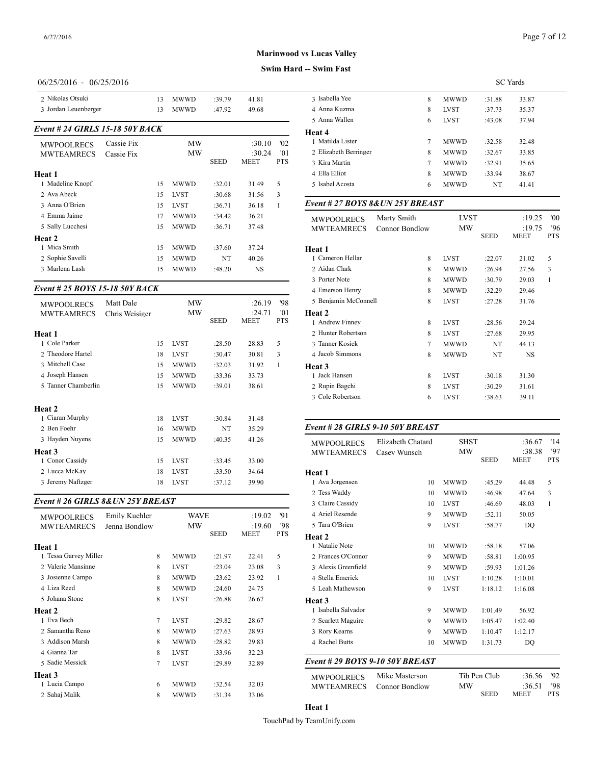### **Swim Hard -- Swim Fast**

## 06/25/2016 - 06/25/2016

| 2 Nikolas Otsuki                |                | 13 | <b>MWWD</b> | :39.79      | 41.81       |              | 3 Isabella Yee        |
|---------------------------------|----------------|----|-------------|-------------|-------------|--------------|-----------------------|
| 3 Jordan Leuenberger            |                | 13 | <b>MWWD</b> | :47.92      | 49.68       |              | 4 Anna Kuzma          |
|                                 |                |    |             |             |             |              | 5 Anna Wallen         |
| Event # 24 GIRLS 15-18 50Y BACK |                |    |             |             |             |              | Heat 4                |
| <b>MWPOOLRECS</b>               | Cassie Fix     |    | <b>MW</b>   |             | :30.10      | '02          | 1 Matilda Lister      |
| <b>MWTEAMRECS</b>               | Cassie Fix     |    | MW          |             | :30.24      | '01          | 2 Elizabeth Berrin    |
|                                 |                |    |             | <b>SEED</b> | <b>MEET</b> | <b>PTS</b>   | 3 Kira Martin         |
| Heat 1                          |                |    |             |             |             |              | 4 Ella Elliot         |
| 1 Madeline Knopf                |                | 15 | <b>MWWD</b> | :32.01      | 31.49       | 5            | 5 Isabel Acosta       |
| 2 Ava Abeck                     |                | 15 | <b>LVST</b> | :30.68      | 31.56       | 3            |                       |
| 3 Anna O'Brien                  |                | 15 | <b>LVST</b> | :36.71      | 36.18       | $\mathbf{1}$ | Event # 27 <b>BOY</b> |
| 4 Emma Jaime                    |                | 17 | <b>MWWD</b> | :34.42      | 36.21       |              | <b>MWPOOLRECS</b>     |
| 5 Sally Lucchesi                |                | 15 | <b>MWWD</b> | :36.71      | 37.48       |              | <b>MWTEAMREC</b>      |
| Heat 2                          |                |    |             |             |             |              |                       |
| 1 Mica Smith                    |                | 15 | MWWD        | :37.60      | 37.24       |              | Heat 1                |
| 2 Sophie Savelli                |                | 15 | <b>MWWD</b> | NT          | 40.26       |              | 1 Cameron Hellar      |
| 3 Marlena Lash                  |                | 15 | <b>MWWD</b> | :48.20      | NS          |              | 2 Aidan Clark         |
|                                 |                |    |             |             |             |              | 3 Porter Note         |
| Event # 25 BOYS 15-18 50Y BACK  |                |    |             |             |             |              | 4 Emerson Henry       |
| <b>MWPOOLRECS</b>               | Matt Dale      |    | MW          |             | :26.19      | '98          | 5 Benjamin McCo       |
| <b>MWTEAMRECS</b>               | Chris Weisiger |    | MW          |             | :24.71      | '01          | Heat 2                |
|                                 |                |    |             | <b>SEED</b> | <b>MEET</b> | <b>PTS</b>   | 1 Andrew Finney       |
| Heat 1                          |                |    |             |             |             |              | 2 Hunter Robertsc     |
| 1 Cole Parker                   |                | 15 | <b>LVST</b> | :28.50      | 28.83       | 5            | 3 Tanner Kosiek       |
| 2 Theodore Hartel               |                | 18 | <b>LVST</b> | :30.47      | 30.81       | 3            | 4 Jacob Simmons       |
| 3 Mitchell Case                 |                | 15 | MWWD        | :32.03      | 31.92       | 1            | Heat 3                |
| 4 Joseph Hansen                 |                | 15 | <b>MWWD</b> | :33.36      | 33.73       |              | 1 Jack Hansen         |
| 5 Tanner Chamberlin             |                | 15 | <b>MWWD</b> | :39.01      | 38.61       |              | 2 Rupin Bagchi        |
|                                 |                |    |             |             |             |              | 3 Cole Robertson      |
| Heat 2                          |                |    |             |             |             |              |                       |
| 1 Ciaran Murphy                 |                | 18 | <b>LVST</b> | :30.84      | 31.48       |              |                       |
| 2 Ben Foehr                     |                | 16 | <b>MWWD</b> | NT          | 35.29       |              | Event # 28 GIRI       |
| 3 Hayden Nuyens                 |                | 15 | <b>MWWD</b> | :40.35      | 41.26       |              | <b>MWPOOLRECS</b>     |
| Heat 3                          |                |    |             |             |             |              | <b>MWTEAMREC</b>      |
| 1 Conor Cassidy                 |                | 15 | <b>LVST</b> | :33.45      | 33.00       |              |                       |
| 2 Lucca McKay                   |                | 18 | <b>LVST</b> | :33.50      | 34.64       |              | Heat 1                |
| 3 Jeremy Naftzger               |                | 18 | <b>LVST</b> | :37.12      | 39.90       |              | 1 Ava Jorgensen       |

## *Event # 26 GIRLS 8&UN 25Y BREAST*

| <b>MWPOOLRECS</b>     | Emily Kuehler |                | <b>WAVE</b> |        | :19.02 | 91           | 4 Ariel Resende    |
|-----------------------|---------------|----------------|-------------|--------|--------|--------------|--------------------|
| <b>MWTEAMRECS</b>     | Jenna Bondlow |                | MW          |        | :19.60 | '98          | 5 Tara O'Brien     |
|                       |               |                |             | SEED   | MEET   | <b>PTS</b>   | Heat 2             |
| Heat 1                |               |                |             |        |        |              | 1 Natalie Note     |
| 1 Tessa Garvey Miller |               | 8              | <b>MWWD</b> | :21.97 | 22.41  | 5            | 2 Frances O'Conn   |
| 2 Valerie Mansinne    |               | 8              | <b>LVST</b> | :23.04 | 23.08  | 3            | 3 Alexis Greenfiel |
| 3 Josienne Campo      |               | 8              | <b>MWWD</b> | :23.62 | 23.92  | $\mathbf{1}$ | 4 Stella Emerick   |
| 4 Liza Reed           |               | 8              | <b>MWWD</b> | :24.60 | 24.75  |              | 5 Leah Mathewso:   |
| 5 Johana Stone        |               | 8              | <b>LVST</b> | :26.88 | 26.67  |              | Heat 3             |
| Heat 2                |               |                |             |        |        |              | 1 Isabella Salvado |
| 1 Eva Bech            |               | $\overline{7}$ | <b>LVST</b> | :29.82 | 28.67  |              | 2 Scarlett Maguire |
| 2 Samantha Reno       |               | 8              | <b>MWWD</b> | :27.63 | 28.93  |              | 3 Rory Kearns      |
| 3 Addison Marsh       |               | 8              | <b>MWWD</b> | :28.82 | 29.83  |              | 4 Rachel Butts     |
| 4 Gianna Tar          |               | 8              | <b>LVST</b> | :33.96 | 32.23  |              |                    |
| 5 Sadie Messick       |               | $\overline{7}$ | <b>LVST</b> | :29.89 | 32.89  |              | Event # 29 $BOY$   |
| Heat 3                |               |                |             |        |        |              | <b>MWPOOLRECS</b>  |
| 1 Lucia Campo         |               | 6              | <b>MWWD</b> | :32.54 | 32.03  |              | <b>MWTEAMREC</b>   |
| 2 Sahaj Malik         |               | 8              | <b>MWWD</b> | :31.34 | 33.06  |              |                    |

|                       |   |             | <b>SC</b> Yards |       |
|-----------------------|---|-------------|-----------------|-------|
| 3 Isabella Yee        | 8 | <b>MWWD</b> | :31.88          | 33.87 |
| 4 Anna Kuzma          | 8 | <b>LVST</b> | :37.73          | 35.37 |
| 5 Anna Wallen         | 6 | <b>LVST</b> | :43.08          | 37.94 |
| Heat 4                |   |             |                 |       |
| 1 Matilda Lister      | 7 | <b>MWWD</b> | :32.58          | 32.48 |
| 2 Elizabeth Berringer | 8 | <b>MWWD</b> | :32.67          | 33.85 |
| 3 Kira Martin         | 7 | <b>MWWD</b> | :32.91          | 35.65 |
| 4 Ella Elliot         | 8 | <b>MWWD</b> | :33.94          | 38.67 |
| 5 Isabel Acosta       | 6 | <b>MWWD</b> | NT              | 41.41 |

| <b>MWPOOLRECS</b>    | Marty Smith           | <b>LVST</b> |        | :19.25         | '00               |
|----------------------|-----------------------|-------------|--------|----------------|-------------------|
| <b>MWTEAMRECS</b>    | <b>Connor Bondlow</b> | MW          | SEED   | :19.75<br>MEET | '96<br><b>PTS</b> |
| Heat 1               |                       |             |        |                |                   |
| 1 Cameron Hellar     | 8                     | <b>LVST</b> | :22.07 | 21.02          | 5                 |
| 2 Aidan Clark        | 8                     | <b>MWWD</b> | :26.94 | 27.56          | 3                 |
| 3 Porter Note        | 8                     | <b>MWWD</b> | :30.79 | 29.03          | 1                 |
| 4 Emerson Henry      | 8                     | <b>MWWD</b> | :32.29 | 29.46          |                   |
| 5 Benjamin McConnell | 8                     | <b>LVST</b> | :27.28 | 31.76          |                   |
| <b>Heat 2</b>        |                       |             |        |                |                   |
| 1 Andrew Finney      | 8                     | <b>LVST</b> | :28.56 | 29.24          |                   |
| 2 Hunter Robertson   | 8                     | <b>LVST</b> | :27.68 | 29.95          |                   |
| 3 Tanner Kosiek      | 7                     | <b>MWWD</b> | NT     | 44.13          |                   |
| 4 Jacob Simmons      | 8                     | <b>MWWD</b> | NT     | <b>NS</b>      |                   |
| <b>Heat 3</b>        |                       |             |        |                |                   |
| 1 Jack Hansen        | 8                     | <b>LVST</b> | :30.18 | 31.30          |                   |
| 2 Rupin Bagchi       | 8                     | <b>LVST</b> | :30.29 | 31.61          |                   |
| 3 Cole Robertson     | 6                     | <b>LVST</b> | :38.63 | 39.11          |                   |
|                      |                       |             |        |                |                   |

## *Event # 28 GIRLS 9-10 50Y BREAST*

| <b>MWPOOLRECS</b>   | Elizabeth Chatard               | <b>SHST</b> |              | :36.67                | '14               |
|---------------------|---------------------------------|-------------|--------------|-----------------------|-------------------|
| <b>MWTEAMRECS</b>   | Casev Wunsch                    | MW          | <b>SEED</b>  | :38.38<br><b>MEET</b> | '97<br><b>PTS</b> |
| Heat 1              |                                 |             |              |                       |                   |
| 1 Ava Jorgensen     | 10                              | <b>MWWD</b> | :45.29       | 44.48                 | 5                 |
| 2 Tess Waddy        | 10                              | <b>MWWD</b> | :46.98       | 47.64                 | 3                 |
| 3 Claire Cassidy    | 10                              | <b>LVST</b> | :46.69       | 48.03                 | 1                 |
| 4 Ariel Resende     | 9                               | <b>MWWD</b> | :52.11       | 50.05                 |                   |
| 5 Tara O'Brien      | 9                               | <b>LVST</b> | :58.77       | DQ                    |                   |
| Heat 2              |                                 |             |              |                       |                   |
| 1 Natalie Note      | 10                              | <b>MWWD</b> | :58.18       | 57.06                 |                   |
| 2 Frances O'Connor  | 9                               | <b>MWWD</b> | :58.81       | 1:00.95               |                   |
| 3 Alexis Greenfield | 9                               | <b>MWWD</b> | :59.93       | 1:01.26               |                   |
| 4 Stella Emerick    | 10                              | <b>LVST</b> | 1:10.28      | 1:10.01               |                   |
| 5 Leah Mathewson    | 9                               | <b>LVST</b> | 1:18.12      | 1:16.08               |                   |
| Heat 3              |                                 |             |              |                       |                   |
| 1 Isabella Salvador | 9                               | <b>MWWD</b> | 1:01.49      | 56.92                 |                   |
| 2 Scarlett Maguire  | 9                               | <b>MWWD</b> | 1:05.47      | 1:02.40               |                   |
| 3 Rory Kearns       | 9                               | <b>MWWD</b> | 1:10.47      | 1:12.17               |                   |
| 4 Rachel Butts      | 10                              | <b>MWWD</b> | 1:31.73      | DO                    |                   |
|                     | Event # 29 BOYS 9-10 50Y BREAST |             |              |                       |                   |
| <b>MWPOOLRECS</b>   | Mike Masterson                  |             | Tib Pen Club | :36.56                | 92                |
| <b>MWTEAMRECS</b>   | <b>Connor Bondlow</b>           | MW          | <b>SEED</b>  | :36.51<br><b>MEET</b> | '98<br><b>PTS</b> |

## **Heat 1**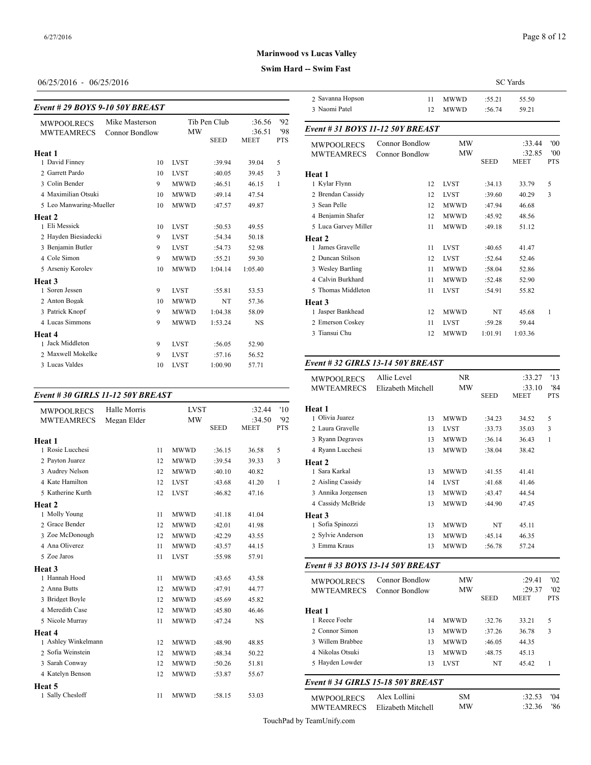#### **Swim Hard -- Swim Fast**

## 06/25/2016 - 06/25/2016

#### *Event # 29 BOYS 9-10 50Y BREAST*

|                         |                       |             |              |             |            | $1$ induction is always |
|-------------------------|-----------------------|-------------|--------------|-------------|------------|-------------------------|
| <b>MWPOOLRECS</b>       | Mike Masterson        |             | Tib Pen Club | :36.56      | '92        |                         |
| <b>MWTEAMRECS</b>       | <b>Connor Bondlow</b> | <b>MW</b>   |              | :36.51      | '98        | Event # 31 $BOY$        |
|                         |                       |             | <b>SEED</b>  | <b>MEET</b> | <b>PTS</b> | <b>MWPOOLRECS</b>       |
| Heat 1                  |                       |             |              |             |            | <b>MWTEAMREC</b>        |
| 1 David Finney          | 10                    | <b>LVST</b> | :39.94       | 39.04       | 5          |                         |
| 2 Garrett Pardo         | 10                    | <b>LVST</b> | :40.05       | 39.45       | 3          | Heat 1                  |
| 3 Colin Bender          | 9                     | <b>MWWD</b> | :46.51       | 46.15       | 1          | 1 Kylar Flynn           |
| 4 Maximilian Otsuki     | 10                    | <b>MWWD</b> | :49.14       | 47.54       |            | 2 Brendan Cassidy       |
| 5 Leo Manwaring-Mueller | 10                    | <b>MWWD</b> | :47.57       | 49.87       |            | 3 Sean Pelle            |
| Heat 2                  |                       |             |              |             |            | 4 Benjamin Shafe        |
| 1 Eli Messick           | 10                    | <b>LVST</b> | :50.53       | 49.55       |            | 5 Luca Garvey Mi        |
| 2 Hayden Biesiadecki    | 9                     | <b>LVST</b> | :54.34       | 50.18       |            | Heat 2                  |
| 3 Benjamin Butler       | 9                     | <b>LVST</b> | :54.73       | 52.98       |            | 1 James Gravelle        |
| 4 Cole Simon            | 9                     | <b>MWWD</b> | :55.21       | 59.30       |            | 2 Duncan Stilson        |
| 5 Arseniy Korolev       | 10                    | <b>MWWD</b> | 1:04.14      | 1:05.40     |            | 3 Wesley Bartling       |
| Heat 3                  |                       |             |              |             |            | 4 Calvin Burkhard       |
| 1 Soren Jessen          | 9                     | <b>LVST</b> | :55.81       | 53.53       |            | 5 Thomas Middlet        |
| 2 Anton Bogak           | 10                    | <b>MWWD</b> | NT           | 57.36       |            | Heat 3                  |
| 3 Patrick Knopf         | 9                     | <b>MWWD</b> | 1:04.38      | 58.09       |            | 1 Jasper Bankhead       |
| 4 Lucas Simmons         | 9                     | <b>MWWD</b> | 1:53.24      | NS          |            | 2 Emerson Coskey        |
| Heat 4                  |                       |             |              |             |            | 3 Tiansui Chu           |
| 1 Jack Middleton        | 9                     | <b>LVST</b> | :56.05       | 52.90       |            |                         |
| 2 Maxwell Mokelke       | 9                     | <b>LVST</b> | :57.16       | 56.52       |            |                         |
| 3 Lucas Valdes          | 10                    | <b>LVST</b> | 1:00.90      | 57.71       |            | Event #32 GIRI          |

## *Event # 30 GIRLS 11-12 50Y BREAST*

| <b>MWPOOLRECS</b>   | Halle Morris |    | <b>LVST</b> |             | :32.44      | '10        | Heat 1            |
|---------------------|--------------|----|-------------|-------------|-------------|------------|-------------------|
| <b>MWTEAMRECS</b>   | Megan Elder  |    | <b>MW</b>   |             | :34.50      | 92         | 1 Olivia Juarez   |
|                     |              |    |             | <b>SEED</b> | <b>MEET</b> | <b>PTS</b> | 2 Laura Gravelle  |
| Heat 1              |              |    |             |             |             |            | 3 Ryann Degraves  |
| 1 Rosie Lucchesi    |              | 11 | <b>MWWD</b> | :36.15      | 36.58       | 5          | 4 Ryann Lucchesi  |
| 2 Payton Juarez     |              | 12 | <b>MWWD</b> | :39.54      | 39.33       | 3          | Heat 2            |
| 3 Audrey Nelson     |              | 12 | <b>MWWD</b> | :40.10      | 40.82       |            | 1 Sara Karkal     |
| 4 Kate Hamilton     |              | 12 | <b>LVST</b> | :43.68      | 41.20       | 1          | 2 Aisling Cassidy |
| 5 Katherine Kurth   |              | 12 | <b>LVST</b> | :46.82      | 47.16       |            | 3 Annika Jorgense |
| Heat 2              |              |    |             |             |             |            | 4 Cassidy McBrid  |
| 1 Molly Young       |              | 11 | <b>MWWD</b> | :41.18      | 41.04       |            | Heat 3            |
| 2 Grace Bender      |              | 12 | <b>MWWD</b> | :42.01      | 41.98       |            | 1 Sofia Spinozzi  |
| 3 Zoe McDonough     |              | 12 | <b>MWWD</b> | :42.29      | 43.55       |            | 2 Sylvie Andersor |
| 4 Ana Oliverez      |              | 11 | <b>MWWD</b> | :43.57      | 44.15       |            | 3 Emma Kraus      |
| 5 Zoe Jaros         |              | 11 | <b>LVST</b> | :55.98      | 57.91       |            |                   |
| Heat 3              |              |    |             |             |             |            | Event # 33 BOY    |
| 1 Hannah Hood       |              | 11 | <b>MWWD</b> | :43.65      | 43.58       |            | <b>MWPOOLRECS</b> |
| 2 Anna Butts        |              | 12 | <b>MWWD</b> | :47.91      | 44.77       |            | <b>MWTEAMREC</b>  |
| 3 Bridget Boyle     |              | 12 | <b>MWWD</b> | :45.69      | 45.82       |            |                   |
| 4 Meredith Case     |              | 12 | <b>MWWD</b> | :45.80      | 46.46       |            | Heat 1            |
| 5 Nicole Murray     |              | 11 | <b>MWWD</b> | :47.24      | <b>NS</b>   |            | 1 Reece Foehr     |
| Heat 4              |              |    |             |             |             |            | 2 Connor Simon    |
| 1 Ashley Winkelmann |              | 12 | <b>MWWD</b> | :48.90      | 48.85       |            | 3 Willem Brabbee  |
| 2 Sofia Weinstein   |              | 12 | <b>MWWD</b> | :48.34      | 50.22       |            | 4 Nikolas Otsuki  |
| 3 Sarah Conway      |              | 12 | <b>MWWD</b> | :50.26      | 51.81       |            | 5 Hayden Lowder   |
| 4 Katelyn Benson    |              | 12 | <b>MWWD</b> | :53.87      | 55.67       |            |                   |
| Heat 5              |              |    |             |             |             |            | Event #34 GIRI    |
| 1 Sally Chesloff    |              | 11 | <b>MWWD</b> | :58.15      | 53.03       |            | <b>MWPOOLRECS</b> |
|                     |              |    |             |             |             |            |                   |

|                                  |                       |             |             | <b>SC</b> Yards       |                   |
|----------------------------------|-----------------------|-------------|-------------|-----------------------|-------------------|
| 2 Savanna Hopson                 | 11                    | <b>MWWD</b> | :55.21      | 55.50                 |                   |
| 3 Naomi Patel                    | 12                    | <b>MWWD</b> | :56.74      | 59.21                 |                   |
| Event # 31 BOYS 11-12 50Y BREAST |                       |             |             |                       |                   |
| <b>MWPOOLRECS</b>                | <b>Connor Bondlow</b> | <b>MW</b>   |             | :33.44                | '00               |
| <b>MWTEAMRECS</b>                | <b>Connor Bondlow</b> | <b>MW</b>   | <b>SEED</b> | :32.85<br><b>MEET</b> | '00<br><b>PTS</b> |
| Heat 1                           |                       |             |             |                       |                   |
| 1 Kylar Flynn                    | 12                    | <b>LVST</b> | :34.13      | 33.79                 | 5                 |
| 2 Brendan Cassidy                | 12                    | <b>LVST</b> | :39.60      | 40.29                 | 3                 |
| 3 Sean Pelle                     | 12                    | <b>MWWD</b> | :47.94      | 46.68                 |                   |
| 4 Benjamin Shafer                | 12                    | <b>MWWD</b> | :45.92      | 48.56                 |                   |
| 5 Luca Garvey Miller             | 11                    | <b>MWWD</b> | :49.18      | 51.12                 |                   |
| Heat 2                           |                       |             |             |                       |                   |
| 1 James Gravelle                 | 11                    | <b>LVST</b> | :40.65      | 41.47                 |                   |
| 2 Duncan Stilson                 | 12                    | <b>LVST</b> | :52.64      | 52.46                 |                   |
| 3 Wesley Bartling                | 11                    | <b>MWWD</b> | :58.04      | 52.86                 |                   |
| 4 Calvin Burkhard                | 11                    | <b>MWWD</b> | :52.48      | 52.90                 |                   |
| 5 Thomas Middleton               | 11                    | <b>LVST</b> | :54.91      | 55.82                 |                   |
| Heat 3                           |                       |             |             |                       |                   |
| 1 Jasper Bankhead                | 12                    | <b>MWWD</b> | NT          | 45.68                 | 1                 |
| 2 Emerson Coskey                 | 11                    | <b>LVST</b> | :59.28      | 59.44                 |                   |
| 3 Tiansui Chu                    | 12                    | <b>MWWD</b> | 1:01.91     | 1:03.36               |                   |
|                                  |                       |             |             |                       |                   |

### *Event # 32 GIRLS 13-14 50Y BREAST*

| <b>MWPOOLRECS</b>  | Allie Level        | NR.         |             | :33.27 | '13        |
|--------------------|--------------------|-------------|-------------|--------|------------|
| <b>MWTEAMRECS</b>  | Elizabeth Mitchell | MW          |             | :33.10 | '84        |
|                    |                    |             | <b>SEED</b> | MEET   | <b>PTS</b> |
| Heat 1             |                    |             |             |        |            |
| 1 Olivia Juarez    | 13                 | <b>MWWD</b> | :34.23      | 34.52  | 5          |
| 2 Laura Gravelle   | 13                 | <b>LVST</b> | :33.73      | 35.03  | 3          |
| 3 Ryann Degraves   | 13                 | <b>MWWD</b> | :36.14      | 36.43  | 1          |
| 4 Ryann Lucchesi   | 13                 | <b>MWWD</b> | :38.04      | 38.42  |            |
| <b>Heat 2</b>      |                    |             |             |        |            |
| 1 Sara Karkal      | 13                 | <b>MWWD</b> | :41.55      | 41.41  |            |
| 2 Aisling Cassidy  | 14                 | <b>LVST</b> | :41.68      | 41.46  |            |
| 3 Annika Jorgensen | 13                 | <b>MWWD</b> | :43.47      | 44.54  |            |
| 4 Cassidy McBride  | 13                 | <b>MWWD</b> | :44.90      | 47.45  |            |
| Heat 3             |                    |             |             |        |            |
| 1 Sofia Spinozzi   | 13                 | <b>MWWD</b> | NT          | 45.11  |            |
| 2 Sylvie Anderson  | 13                 | <b>MWWD</b> | :45.14      | 46.35  |            |
| 3 Emma Kraus       | 13                 | <b>MWWD</b> | :56.78      | 57.24  |            |
|                    |                    |             |             |        |            |

## *Event # 33 BOYS 13-14 50Y BREAST*

| <b>MWPOOLRECS</b> | Connor Bondlow | <b>MW</b>   |             | :29.41      | '02        |
|-------------------|----------------|-------------|-------------|-------------|------------|
| <b>MWTEAMRECS</b> | Connor Bondlow | MW          |             | :29.37      | '02        |
|                   |                |             | <b>SEED</b> | <b>MEET</b> | <b>PTS</b> |
| Heat 1            |                |             |             |             |            |
| 1 Reece Foehr     | 14             | <b>MWWD</b> | :32.76      | 33.21       | 5          |
| 2. Connor Simon   | 13             | <b>MWWD</b> | :37.26      | 36.78       | 3          |
| 3 Willem Brabbee  | 13             | <b>MWWD</b> | :46.05      | 44.35       |            |
| 4 Nikolas Otsuki  | 13             | <b>MWWD</b> | :48.75      | 45.13       |            |
| 5 Hayden Lowder   | 13             | <b>LVST</b> | NT          | 45.42       |            |

#### *Event # 34 GIRLS 15-18 50Y BREAST*

| <b>MWPOOLRECS</b> | Alex Lollini       | SM | 04'           |
|-------------------|--------------------|----|---------------|
| <b>MWTEAMRECS</b> | Elizabeth Mitchell | МW | '86<br>:32.36 |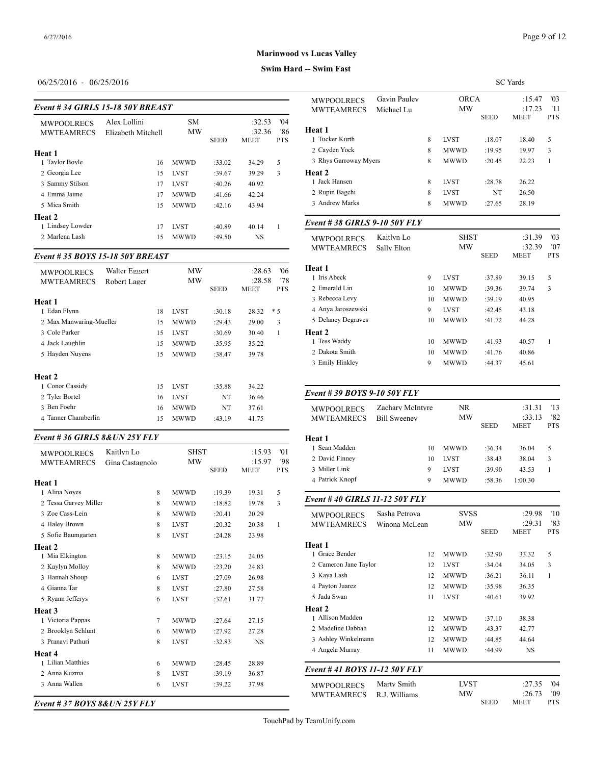SC Yards

### **Marinwood vs Lucas Valley**

#### **Swim Hard -- Swim Fast**

## 06/25/2016 - 06/25/2016

#### *Event # 34 GIRLS 15-18 50Y BREAST*

|                                        |                                    |                        |             |                                 |                          | IVIVILATVILUU                   |
|----------------------------------------|------------------------------------|------------------------|-------------|---------------------------------|--------------------------|---------------------------------|
| <b>MWPOOLRECS</b><br><b>MWTEAMRECS</b> | Alex Lollini<br>Elizabeth Mitchell | <b>SM</b><br><b>MW</b> | <b>SEED</b> | :32.53<br>:32.36<br><b>MEET</b> | 04'<br>'86<br><b>PTS</b> | <b>Heat 1</b><br>1 Tucker Kurth |
| Heat 1                                 |                                    |                        |             |                                 |                          | 2 Cavden Yock                   |
| 1 Taylor Boyle                         | 16                                 | <b>MWWD</b>            | :33.02      | 34.29                           | 5                        | 3 Rhys Garroway                 |
| 2 Georgia Lee                          | 15                                 | <b>LVST</b>            | :39.67      | 39.29                           | 3                        | Heat 2                          |
| 3 Sammy Stilson                        | 17                                 | <b>LVST</b>            | :40.26      | 40.92                           |                          | 1 Jack Hansen                   |
| 4 Emma Jaime                           | 17                                 | <b>MWWD</b>            | :41.66      | 42.24                           |                          | 2 Rupin Bagchi                  |
| 5 Mica Smith                           | 15                                 | <b>MWWD</b>            | :42.16      | 43.94                           |                          | 3 Andrew Marks                  |
| Heat 2                                 |                                    |                        |             |                                 |                          |                                 |
| 1 Lindsey Lowder                       | 17                                 | <b>LVST</b>            | :40.89      | 40.14                           |                          | Event #38 GIRI                  |
| 2 Marlena Lash                         | 15                                 | <b>MWWD</b>            | :49.50      | NS                              |                          | <b>MWPOOLRECS</b>               |

## *Event # 35 BOYS 15-18 50Y BREAST*

| <b>MWPOOLRECS</b><br><b>MWTEAMRECS</b>                                            | Walter Eggert<br>Robert Lager |                      | MW<br><b>MW</b>                                          |                                      | :28.63<br>:28.58                           | Heat 1<br>'06<br>1 Iris Abeck<br>'78<br>2 Emerald Lin                                  |
|-----------------------------------------------------------------------------------|-------------------------------|----------------------|----------------------------------------------------------|--------------------------------------|--------------------------------------------|----------------------------------------------------------------------------------------|
| Heat 1<br>1 Edan Flynn                                                            |                               | 18                   | <b>LVST</b>                                              | <b>SEED</b><br>:30.18                | <b>PTS</b><br>MEET<br>$*5$<br>28.32        | 3 Rebecca Levy<br>4 Anya Jaroszews                                                     |
| 2 Max Manwaring-Mueller<br>3 Cole Parker<br>4 Jack Laughlin<br>5 Hayden Nuyens    |                               | 15<br>15<br>15<br>15 | <b>MWWD</b><br><b>LVST</b><br><b>MWWD</b><br><b>MWWD</b> | :29.43<br>:30.69<br>:35.95<br>:38.47 | 3<br>29.00<br>1<br>30.40<br>35.22<br>39.78 | 5 Delaney Degrav<br><b>Heat 2</b><br>1 Tess Waddy<br>2 Dakota Smith<br>3 Emily Hinkley |
| Heat 2<br>1 Conor Cassidy<br>2 Tyler Bortel<br>3 Ben Foehr<br>4 Tanner Chamberlin |                               | 15<br>16<br>16<br>15 | <b>LVST</b><br><b>LVST</b><br><b>MWWD</b><br><b>MWWD</b> | :35.88<br>NT<br>NT<br>:43.19         | 34.22<br>36.46<br>37.61<br>41.75           | Event # 39 BOY<br><b>MWPOOLRECS</b><br><b>MWTEAMREC</b>                                |

## *Event # 36 GIRLS 8&UN 25Y FLY*

| <b>MWPOOLRECS</b>     | Kaitlyn Lo      | <b>SHST</b> |             | :15.93      | '01        | 1 Sean Madden     |
|-----------------------|-----------------|-------------|-------------|-------------|------------|-------------------|
| <b>MWTEAMRECS</b>     | Gina Castagnolo | <b>MW</b>   |             | :15.97      | '98        | 2 David Finney    |
|                       |                 |             | <b>SEED</b> | <b>MEET</b> | <b>PTS</b> | 3 Miller Link     |
| Heat 1                |                 |             |             |             |            | 4 Patrick Knopf   |
| 1 Alina Noyes         | 8               | <b>MWWD</b> | :19.39      | 19.31       | 5          |                   |
| 2 Tessa Garvey Miller | 8               | <b>MWWD</b> | :18.82      | 19.78       | 3          | Event #40 GIRI    |
| 3 Zoe Cass-Lein       | 8               | <b>MWWD</b> | :20.41      | 20.29       |            | <b>MWPOOLRECS</b> |
| 4 Haley Brown         | 8               | <b>LVST</b> | :20.32      | 20.38       | 1          | <b>MWTEAMREC</b>  |
| 5 Sofie Baumgarten    | 8               | <b>LVST</b> | :24.28      | 23.98       |            |                   |
| Heat 2                |                 |             |             |             |            | Heat 1            |
| 1 Mia Elkington       | 8               | <b>MWWD</b> | :23.15      | 24.05       |            | 1 Grace Bender    |
| 2 Kaylyn Molloy       | 8               | <b>MWWD</b> | :23.20      | 24.83       |            | 2 Cameron Jane T  |
| 3 Hannah Shoup        | 6               | <b>LVST</b> | :27.09      | 26.98       |            | 3 Kaya Lash       |
| 4 Gianna Tar          | 8               | <b>LVST</b> | :27.80      | 27.58       |            | 4 Payton Juarez   |
| 5 Ryann Jefferys      | 6               | <b>LVST</b> | :32.61      | 31.77       |            | 5 Jada Swan       |
| Heat 3                |                 |             |             |             |            | Heat 2            |
| 1 Victoria Pappas     | 7               | <b>MWWD</b> | :27.64      | 27.15       |            | 1 Allison Madden  |
| 2 Brooklyn Schlunt    | 6               | <b>MWWD</b> | :27.92      | 27.28       |            | 2 Madeline Dabba  |
| 3 Pranavi Pathuri     | 8               | <b>LVST</b> | :32.83      | <b>NS</b>   |            | 3 Ashley Winkeln  |
| Heat 4                |                 |             |             |             |            | 4 Angela Murray   |
| 1 Lilian Matthies     | 6               | <b>MWWD</b> | :28.45      | 28.89       |            |                   |
| 2 Anna Kuzma          | 8               | <b>LVST</b> | :39.19      | 36.87       |            | Event #41 $BOY$   |
| 3 Anna Wallen         | 6               | <b>LVST</b> | :39.22      | 37.98       |            | <b>MWPOOLRECS</b> |
|                       |                 |             |             |             |            | <b>MWTEAMREC</b>  |

*Event # 37 BOYS 8&UN 25Y FLY*

| <b>MWPOOLRECS</b>            | Gavin Paulev |    | <b>ORCA</b> |             | :15.47      | '03          |
|------------------------------|--------------|----|-------------|-------------|-------------|--------------|
| <b>MWTEAMRECS</b>            | Michael Lu   |    | <b>MW</b>   |             | :17.23      | '11          |
|                              |              |    |             | <b>SEED</b> | <b>MEET</b> | <b>PTS</b>   |
| Heat 1                       |              |    |             |             |             |              |
| 1 Tucker Kurth               |              | 8  | <b>LVST</b> | :18.07      | 18.40       | 5            |
| 2 Cayden Yock                |              | 8  | <b>MWWD</b> | :19.95      | 19.97       | 3            |
| 3 Rhys Garroway Myers        |              | 8  | <b>MWWD</b> | :20.45      | 22.23       | $\mathbf{1}$ |
| Heat 2                       |              |    |             |             |             |              |
| 1 Jack Hansen                |              | 8  | <b>LVST</b> | :28.78      | 26.22       |              |
| 2 Rupin Bagchi               |              | 8  | <b>LVST</b> | NT          | 26.50       |              |
| 3 Andrew Marks               |              | 8  | <b>MWWD</b> | :27.65      | 28.19       |              |
| Event #38 GIRLS 9-10 50Y FLY |              |    |             |             |             |              |
| <b>MWPOOLRECS</b>            | Kaitlyn Lo   |    | <b>SHST</b> |             | :31.39      | '03          |
| <b>MWTEAMRECS</b>            | Sally Elton  |    | <b>MW</b>   |             | :32.39      | '07          |
|                              |              |    |             | <b>SEED</b> | <b>MEET</b> | <b>PTS</b>   |
| Heat 1                       |              |    |             |             |             |              |
| 1 Iris Abeck                 |              | 9  | <b>LVST</b> | :37.89      | 39.15       | 5            |
| 2 Emerald Lin                |              | 10 | <b>MWWD</b> | :39.36      | 39.74       | 3            |
| 3 Rebecca Levy               |              | 10 | <b>MWWD</b> | :39.19      | 40.95       |              |
| 4 Anya Jaroszewski           |              | 9  | <b>LVST</b> | :42.45      | 43.18       |              |
| 5 Delaney Degraves           |              | 10 | <b>MWWD</b> | :41.72      | 44.28       |              |
| Heat 2                       |              |    |             |             |             |              |
| 1 Tess Waddy                 |              | 10 | <b>MWWD</b> | :41.93      | 40.57       | 1            |
| 2 Dakota Smith               |              | 10 | <b>MWWD</b> | :41.76      | 40.86       |              |
| 3 Emily Hinkley              |              | 9  | <b>MWWD</b> | :44.37      | 45.61       |              |
|                              |              |    |             |             |             |              |

#### *Event # 39 BOYS 9-10 50Y FLY*

| <b>MWPOOLRECS</b> | Zachary McIntyre    | NR.         |             | :31.31      | '13        |
|-------------------|---------------------|-------------|-------------|-------------|------------|
| <b>MWTEAMRECS</b> | <b>Bill Sweeney</b> | MW          |             | :33.13      | '82        |
|                   |                     |             | <b>SEED</b> | <b>MEET</b> | <b>PTS</b> |
| Heat 1            |                     |             |             |             |            |
| 1 Sean Madden     | 10                  | <b>MWWD</b> | :36.34      | 36.04       | 5          |
| 2 David Finney    | 10                  | <b>LVST</b> | :38.43      | 38.04       | 3          |
| 3 Miller Link     | 9                   | <b>LVST</b> | :39.90      | 43.53       |            |
| 4 Patrick Knopf   | 9                   | <b>MWWD</b> | :58.36      | 1:00.30     |            |
|                   |                     |             |             |             |            |

## *Event # 40 GIRLS 11-12 50Y FLY*

| <b>MWPOOLRECS</b><br><b>MWTEAMRECS</b> | Sasha Petrova<br>Winona McLean |    | <b>SVSS</b><br>MW |             | '10<br>:29.98<br>:29.31<br>'83 |                   |
|----------------------------------------|--------------------------------|----|-------------------|-------------|--------------------------------|-------------------|
|                                        |                                |    |                   | <b>SEED</b> | <b>MEET</b>                    | <b>PTS</b>        |
| Heat 1                                 |                                |    |                   |             |                                |                   |
| 1 Grace Bender                         |                                | 12 | <b>MWWD</b>       | :32.90      | 33.32                          | 5                 |
| 2 Cameron Jane Taylor                  |                                | 12 | <b>LVST</b>       | :34.04      | 34.05                          | 3                 |
| 3 Kaya Lash                            |                                | 12 | <b>MWWD</b>       | :36.21      | 36.11                          | 1                 |
| 4 Payton Juarez                        |                                | 12 | <b>MWWD</b>       | :35.98      | 36.35                          |                   |
| 5 Jada Swan                            |                                | 11 | <b>LVST</b>       | :40.61      | 39.92                          |                   |
| Heat 2                                 |                                |    |                   |             |                                |                   |
| 1 Allison Madden                       |                                | 12 | <b>MWWD</b>       | :37.10      | 38.38                          |                   |
| 2 Madeline Dabbah                      |                                | 12 | <b>MWWD</b>       | :43.37      | 42.77                          |                   |
| 3 Ashley Winkelmann                    |                                | 12 | <b>MWWD</b>       | :44.85      | 44.64                          |                   |
| 4 Angela Murray                        |                                | 11 | <b>MWWD</b>       | :44.99      | <b>NS</b>                      |                   |
| Event #41 BOYS 11-12 50Y FLY           |                                |    |                   |             |                                |                   |
| <b>MWPOOLRECS</b>                      | Marty Smith                    |    | <b>LVST</b>       |             | :27.35                         | 04'               |
| <b>MWTEAMRECS</b>                      | R.J. Williams                  |    | MW                | <b>SEED</b> | :26.73<br>MEET                 | '09<br><b>PTS</b> |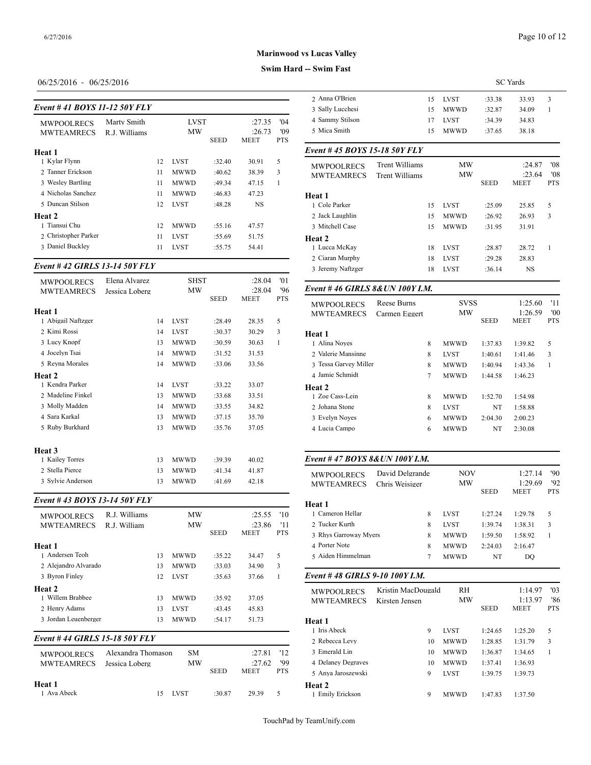## **Swim Hard --**

## 06/25/2016 - 06/25/2016

| Event # 41 BOYS 11-12 50Y FLY |  |
|-------------------------------|--|
|                               |  |

|                                        |                              |    |                   |             |                          |                          | $100011$ , $2000011$            |
|----------------------------------------|------------------------------|----|-------------------|-------------|--------------------------|--------------------------|---------------------------------|
| <b>MWPOOLRECS</b><br><b>MWTEAMRECS</b> | Marty Smith<br>R.J. Williams |    | <b>LVST</b><br>MW | <b>SEED</b> | :27.35<br>:26.73<br>MEET | 04'<br>'09<br><b>PTS</b> | 4 Sammy Stilson<br>5 Mica Smith |
| Heat 1                                 |                              |    |                   |             |                          |                          | Event #45 $BOY$                 |
| 1 Kylar Flynn                          |                              | 12 | <b>LVST</b>       | :32.40      | 30.91                    | 5                        | <b>MWPOOLRECS</b>               |
| 2. Tanner Erickson                     |                              | 11 | <b>MWWD</b>       | :40.62      | 38.39                    | 3                        | <b>MWTEAMREC</b>                |
| 3 Wesley Bartling                      |                              | 11 | <b>MWWD</b>       | :49.34      | 47.15                    | 1                        |                                 |
| 4 Nicholas Sanchez                     |                              | 11 | <b>MWWD</b>       | :46.83      | 47.23                    |                          | Heat 1                          |
| 5 Duncan Stilson                       |                              | 12 | <b>LVST</b>       | :48.28      | NS                       |                          | 1 Cole Parker                   |
| Heat 2                                 |                              |    |                   |             |                          |                          | 2 Jack Laughlin                 |
| 1 Tiansui Chu                          |                              | 12 | <b>MWWD</b>       | :55.16      | 47.57                    |                          | 3 Mitchell Case                 |
| 2 Christopher Parker                   |                              | 11 | <b>LVST</b>       | :55.69      | 51.75                    |                          | Heat 2                          |
| 3 Daniel Buckley                       |                              | 11 | <b>LVST</b>       | :55.75      | 54.41                    |                          | 1 Lucca McKav                   |

## *Event # 42 GIRLS 13-14 50Y FLY*

| <b>MWPOOLRECS</b><br><b>MWTEAMRECS</b>          | Elena Alvarez<br>Jessica Loberg |          | <b>SHST</b><br>MW          |                  | :28.04<br>:28.04 | '01<br>'96 | Event #46 GIRI                        |
|-------------------------------------------------|---------------------------------|----------|----------------------------|------------------|------------------|------------|---------------------------------------|
|                                                 |                                 |          |                            | <b>SEED</b>      | <b>MEET</b>      | <b>PTS</b> | <b>MWPOOLRECS</b>                     |
| Heat 1<br>1 Abigail Naftzger                    |                                 | 14       | <b>LVST</b>                | :28.49           | 28.35            | 5          | <b>MWTEAMREC</b>                      |
| 2 Kimi Rossi                                    |                                 | 14       | <b>LVST</b>                | :30.37           | 30.29            | 3          | Heat 1                                |
| 3 Lucy Knopf<br>4 Jocelyn Tsai                  |                                 | 13<br>14 | <b>MWWD</b><br><b>MWWD</b> | :30.59<br>:31.52 | 30.63<br>31.53   | 1          | 1 Alina Noyes<br>2 Valerie Mansinn    |
| 5 Reyna Morales                                 |                                 | 14       | <b>MWWD</b>                | :33.06           | 33.56            |            | 3 Tessa Garvey M<br>4 Jamie Schmidt   |
| Heat 2<br>1 Kendra Parker<br>2. Madeline Finkel |                                 | 14<br>13 | <b>LVST</b><br><b>MWWD</b> | :33.22<br>:33.68 | 33.07<br>33.51   |            | Heat 2<br>1 Zoe Cass-Lein             |
| 3 Molly Madden                                  |                                 | 14       | <b>MWWD</b>                | :33.55           | 34.82            |            | 2 Johana Stone                        |
| 4 Sara Karkal<br>5 Ruby Burkhard                |                                 | 13<br>13 | <b>MWWD</b><br><b>MWWD</b> | :37.15<br>:35.76 | 35.70<br>37.05   |            | 3 Evelyn Noyes<br>4 Lucia Campo       |
| Heat 3                                          |                                 |          |                            |                  |                  |            |                                       |
| 1 Kailey Torres                                 |                                 | 13       | <b>MWWD</b>                | :39.39           | 40.02            |            | Event #47 $BOY$                       |
| 2 Stella Pierce<br>3 Sylvie Anderson            |                                 | 13<br>13 | <b>MWWD</b><br><b>MWWD</b> | :41.34<br>:41.69 | 41.87<br>42.18   |            | <b>MWPOOLRECS</b><br><b>MWTEAMREC</b> |

## *Event # 43 BOYS 13-14 50Y FLY*

| <b>MWPOOLRECS</b><br><b>MWTEAMRECS</b><br>Heat 1<br>1 Andersen Teoh | R.J. Williams<br>R.J. William        | 13             | MW<br>MW<br><b>MWWD</b>                   | <b>SEED</b><br>:35.22      | :25.55<br>:23.86<br><b>MEET</b><br>34.47 | '10<br>'11<br><b>PTS</b><br>5 | 1 Cameron Hellar<br>2 Tucker Kurth<br>3 Rhys Garroway Myers<br>4 Porter Note<br>5 Aiden Himmelman | 8<br>8<br>8<br>8<br>7                | <b>LVST</b><br><b>LVST</b><br><b>MWWD</b><br><b>MWWD</b><br><b>MWWD</b> |
|---------------------------------------------------------------------|--------------------------------------|----------------|-------------------------------------------|----------------------------|------------------------------------------|-------------------------------|---------------------------------------------------------------------------------------------------|--------------------------------------|-------------------------------------------------------------------------|
| 2 Alejandro Alvarado<br>3 Byron Finley                              |                                      | 13<br>12       | <b>MWWD</b><br><b>LVST</b>                | :33.03<br>:35.63           | 34.90<br>37.66                           | 3<br>1                        | Event #48 GIRLS 9-10 100Y I.M.                                                                    |                                      |                                                                         |
| Heat 2<br>1 Willem Brabbee<br>2 Henry Adams<br>3 Jordan Leuenberger |                                      | 13<br>13<br>13 | <b>MWWD</b><br><b>LVST</b><br><b>MWWD</b> | :35.92<br>:43.45<br>:54.17 | 37.05<br>45.83<br>51.73                  |                               | <b>MWPOOLRECS</b><br><b>MWTEAMRECS</b><br>Heat 1                                                  | Kristin MacDougald<br>Kirsten Jensen | RI<br>M                                                                 |
| Event #44 GIRLS 15-18 50Y FLY                                       |                                      |                |                                           |                            |                                          |                               | 1 Iris Abeck<br>2 Rebecca Levy                                                                    | 9<br>10                              | <b>LVST</b><br><b>MWWD</b>                                              |
| <b>MWPOOLRECS</b><br><b>MWTEAMRECS</b>                              | Alexandra Thomason<br>Jessica Loberg |                | SM<br>MW                                  | <b>SEED</b>                | :27.81<br>:27.62<br><b>MEET</b>          | '12<br>'99<br><b>PTS</b>      | 3 Emerald Lin<br>4 Delaney Degraves<br>5 Anya Jaroszewski                                         | 10<br>10<br>9                        | <b>MWWD</b><br><b>MWWD</b><br><b>LVST</b>                               |
| Heat 1<br>1 Ava Abeck                                               |                                      | 15             | <b>LVST</b>                               | :30.87                     | 29.39                                    | 5                             | Heat 2<br>Emily Erickson                                                                          | 9                                    | <b>MWWD</b>                                                             |

| -- Swim Fast                    |                       |    |             |             |                       |                   |
|---------------------------------|-----------------------|----|-------------|-------------|-----------------------|-------------------|
|                                 |                       |    |             |             | <b>SC</b> Yards       |                   |
| 2 Anna O'Brien                  |                       | 15 | <b>LVST</b> | :33.38      | 33.93                 | 3                 |
| 3 Sally Lucchesi                |                       | 15 | <b>MWWD</b> | :32.87      | 34.09                 | 1                 |
| 4 Sammy Stilson                 |                       | 17 | <b>LVST</b> | :34.39      | 34.83                 |                   |
| 5 Mica Smith                    |                       | 15 | <b>MWWD</b> | :37.65      | 38.18                 |                   |
| Event # 45 BOYS 15-18 50Y FLY   |                       |    |             |             |                       |                   |
| <b>MWPOOLRECS</b>               | <b>Trent Williams</b> |    | <b>MW</b>   |             | :24.87                | 08'               |
| <b>MWTEAMRECS</b>               | <b>Trent Williams</b> |    | MW          | <b>SEED</b> | :23.64<br><b>MEET</b> | '08<br><b>PTS</b> |
| Heat 1                          |                       |    |             |             |                       |                   |
| 1 Cole Parker                   |                       | 15 | <b>LVST</b> | :25.09      | 25.85                 | 5                 |
| 2 Jack Laughlin                 |                       | 15 | <b>MWWD</b> | :26.92      | 26.93                 | 3                 |
| 3 Mitchell Case                 |                       | 15 | <b>MWWD</b> | :31.95      | 31.91                 |                   |
| Heat 2                          |                       |    |             |             |                       |                   |
| 1 Lucca McKay                   |                       | 18 | <b>LVST</b> | :28.87      | 28.72                 | $\mathbf{1}$      |
| 2 Ciaran Murphy                 |                       | 18 | LVST        | :29.28      | 28.83                 |                   |
| 3 Jeremy Naftzger               |                       | 18 | <b>LVST</b> | :36.14      | NS                    |                   |
| Event #46 GIRLS 8& UN 100Y I.M. |                       |    |             |             |                       |                   |
| <b>MWPOOLRECS</b>               | Reese Burns           |    | <b>SVSS</b> |             | 1:25.60               | '11               |
| <b>MWTEAMRECS</b>               | Carmen Eggert         |    | MW          |             | 1:26.59               | 00'               |
|                                 |                       |    |             | <b>SEED</b> | <b>MEET</b>           | <b>PTS</b>        |
| Heat 1                          |                       |    |             |             |                       |                   |
| 1 Alina Noyes                   |                       | 8  | <b>MWWD</b> | 1:37.83     | 1:39.82               | 5                 |
| 2 Valerie Mansinne              |                       | 8  | <b>LVST</b> | 1:40.61     | 1:41.46               | 3                 |
| 3 Tessa Garvey Miller           |                       | 8  | <b>MWWD</b> | 1:40.94     | 1:43.36               | 1                 |
| 4 Jamie Schmidt                 |                       | 7  | <b>MWWD</b> | 1:44.58     | 1:46.23               |                   |
| <b>Heat 2</b>                   |                       |    |             |             |                       |                   |
| 1 Zoe Cass-Lein                 |                       | 8  | <b>MWWD</b> | 1:52.70     | 1:54.98               |                   |
| 2 Johana Stone                  |                       | 8  | LVST        | NT          | 1:58.88               |                   |
| 3 Evelyn Noyes                  |                       | 6  | <b>MWWD</b> | 2:04.30     | 2:00.23               |                   |
| 4 Lucia Campo                   |                       | 6  | MWWD        | NT          | 2:30.08               |                   |
| Event #47 BOYS 8&UN 100Y I.M.   |                       |    |             |             |                       |                   |
| <b>MWPOOLRECS</b>               | David Delgrande       |    | NOV         |             | 1:27.14               | '90               |
| MWTEAMRECS                      | Chris Weisiger        |    | MW          |             | 1:29.69               | 92                |

| <b>MWIEAMRECS</b>     | Chris Weisiger |   | <b>NIW</b>  |             | 1.29.09     | $\mathcal{L}$ |
|-----------------------|----------------|---|-------------|-------------|-------------|---------------|
|                       |                |   |             | <b>SEED</b> | <b>MEET</b> | <b>PTS</b>    |
| Heat 1                |                |   |             |             |             |               |
| 1 Cameron Hellar      |                | 8 | <b>LVST</b> | 1:27.24     | 1:29.78     | 5             |
| 2 Tucker Kurth        |                | 8 | <b>LVST</b> | 1:39.74     | 1:38.31     | 3             |
| 3 Rhys Garroway Myers |                | 8 | <b>MWWD</b> | 1:59.50     | 1:58.92     |               |
| 4 Porter Note         |                | 8 | <b>MWWD</b> | 2:24.03     | 2:16.47     |               |
| 5 Aiden Himmelman     |                |   | <b>MWWD</b> | NT          | DO.         |               |
|                       |                |   |             |             |             |               |

| <b>MWPOOLRECS</b><br><b>MWTEAMRECS</b> | Kristin MacDougald<br>Kirsten Jensen | <b>RH</b><br>MW | <b>SEED</b> | 1:14.97<br>1:13.97<br><b>MEET</b> | '03<br>'86<br><b>PTS</b> |
|----------------------------------------|--------------------------------------|-----------------|-------------|-----------------------------------|--------------------------|
| Heat 1                                 |                                      |                 |             |                                   |                          |
| 1 Iris Abeck                           | 9                                    | <b>LVST</b>     | 1:24.65     | 1:25.20                           | 5                        |
| 2 Rebecca Levy                         | 10                                   | <b>MWWD</b>     | 1:28.85     | 1:31.79                           | 3                        |
| 3 Emerald Lin                          | 10                                   | <b>MWWD</b>     | 1:36.87     | 1:34.65                           |                          |
| 4 Delaney Degraves                     | 10                                   | <b>MWWD</b>     | 1:37.41     | 1:36.93                           |                          |
| 5 Anya Jaroszewski                     | 9                                    | <b>LVST</b>     | 1:39.75     | 1:39.73                           |                          |
| <b>Heat 2</b>                          |                                      |                 |             |                                   |                          |
| 1 Emily Erickson                       | 9                                    | <b>MWWD</b>     | 1:47.83     | 1:37.50                           |                          |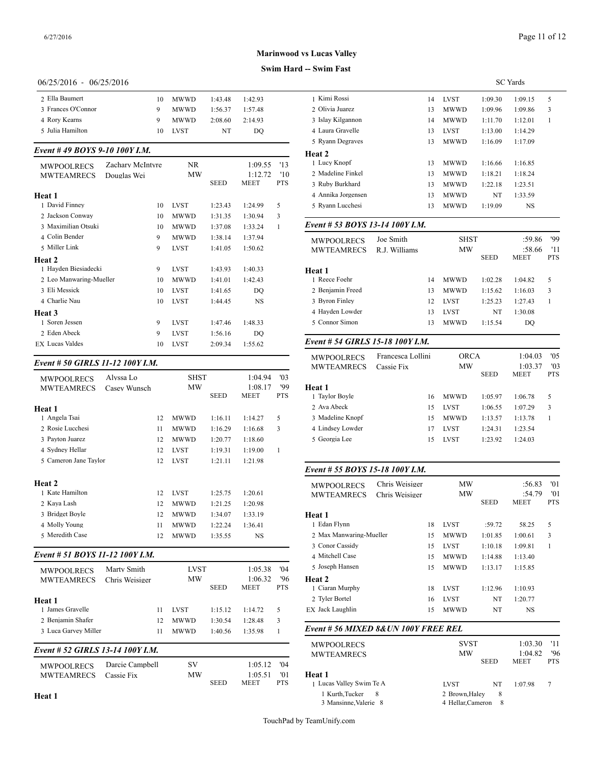# **Swim Hard -- Swim Fast**

## 06/25/2016 - 06/25/2016

| 2 Ella Baumert     | 10. | <b>MWWD</b> | 1:43.48 | 1:42.93 | 1 Kimi Rossi     |
|--------------------|-----|-------------|---------|---------|------------------|
| 3 Frances O'Connor | 9   | <b>MWWD</b> | 1:56.37 | 1:57.48 | 2 Olivia Juarez  |
| 4 Rory Kearns      | 9   | <b>MWWD</b> | 2:08.60 | 2:14.93 | 3 Islay Kilganno |
| 5 Julia Hamilton   |     | 10 LVST     | NT      | DO.     | 4 Laura Gravelle |
|                    |     |             |         |         | 5 Ryann Decray   |

## *Event # 49 BOYS 9-10 100Y I.M.*

| <b>MWPOOLRECS</b>       | Zachary McIntyre | NR          |             | 1:09.55   | 13           | 1 Lucy Knopf      |
|-------------------------|------------------|-------------|-------------|-----------|--------------|-------------------|
| <b>MWTEAMRECS</b>       | Douglas Wei      | MW          |             | 1:12.72   | $10^{\circ}$ | 2 Madeline Finkel |
|                         |                  |             | <b>SEED</b> | MEET      | <b>PTS</b>   | 3 Ruby Burkhard   |
| Heat 1                  |                  |             |             |           |              | 4 Annika Jorgense |
| 1 David Finney          | 10               | <b>LVST</b> | 1:23.43     | 1:24.99   | 5            | 5 Ryann Lucchesi  |
| 2 Jackson Conway        | 10               | <b>MWWD</b> | 1:31.35     | 1:30.94   | 3            |                   |
| 3 Maximilian Otsuki     | 10               | <b>MWWD</b> | 1:37.08     | 1:33.24   | 1            | Event # 53 $BOY$  |
| 4 Colin Bender          | 9                | <b>MWWD</b> | 1:38.14     | 1:37.94   |              | <b>MWPOOLRECS</b> |
| 5 Miller Link           | 9                | <b>LVST</b> | 1:41.05     | 1:50.62   |              | <b>MWTEAMREC</b>  |
| Heat 2                  |                  |             |             |           |              |                   |
| 1 Hayden Biesiadecki    | 9                | <b>LVST</b> | 1:43.93     | 1:40.33   |              | Heat 1            |
| 2 Leo Manwaring-Mueller | 10               | <b>MWWD</b> | 1:41.01     | 1:42.43   |              | 1 Reece Foehr     |
| 3 Eli Messick           | 10               | <b>LVST</b> | 1:41.65     | DO        |              | 2 Benjamin Freed  |
| 4 Charlie Nau           | 10               | <b>LVST</b> | 1:44.45     | <b>NS</b> |              | 3 Byron Finley    |
| Heat 3                  |                  |             |             |           |              | 4 Hayden Lowder   |
| 1 Soren Jessen          | 9                | <b>LVST</b> | 1:47.46     | 1:48.33   |              | 5 Connor Simon    |
| 2 Eden Abeck            | 9                | <b>LVST</b> | 1:56.16     | DO        |              |                   |
| <b>EX</b> Lucas Valdes  | 10               | <b>LVST</b> | 2:09.34     | 1:55.62   |              | Event # 54 GIRI   |
|                         |                  |             |             |           |              |                   |

## *Event # 50 GIRLS 11-12 100Y I.M.*

| <b>MWPOOLRECS</b>     | Alvssa Lo    |    | <b>SHST</b> |             | 1:04.94   | '03          |                   |
|-----------------------|--------------|----|-------------|-------------|-----------|--------------|-------------------|
| <b>MWTEAMRECS</b>     | Casey Wunsch |    | MW          |             | 1:08.17   | '99          | <b>Heat 1</b>     |
|                       |              |    |             | <b>SEED</b> | MEET      | <b>PTS</b>   | 1 Taylor Boyle    |
| Heat 1                |              |    |             |             |           |              | 2 Ava Abeck       |
| 1 Angela Tsai         |              | 12 | <b>MWWD</b> | 1:16.11     | 1:14.27   | 5            | 3 Madeline Knopf  |
| 2 Rosie Lucchesi      |              | 11 | <b>MWWD</b> | 1:16.29     | 1:16.68   | 3            | 4 Lindsey Lowder  |
| 3 Payton Juarez       |              | 12 | <b>MWWD</b> | 1:20.77     | 1:18.60   |              | 5 Georgia Lee     |
| 4 Sydney Hellar       |              | 12 | <b>LVST</b> | 1:19.31     | 1:19.00   | $\mathbf{1}$ |                   |
| 5 Cameron Jane Taylor |              | 12 | <b>LVST</b> | 1:21.11     | 1:21.98   |              |                   |
|                       |              |    |             |             |           |              | Event # 55 $BOY$  |
| <b>Heat 2</b>         |              |    |             |             |           |              | <b>MWPOOLRECS</b> |
| 1 Kate Hamilton       |              | 12 | <b>LVST</b> | 1:25.75     | 1:20.61   |              | <b>MWTEAMREC</b>  |
| 2 Kaya Lash           |              | 12 | <b>MWWD</b> | 1:21.25     | 1:20.98   |              |                   |
| 3 Bridget Boyle       |              | 12 | <b>MWWD</b> | 1:34.07     | 1:33.19   |              | Heat 1            |
| 4 Molly Young         |              | 11 | <b>MWWD</b> | 1:22.24     | 1:36.41   |              | 1 Edan Flynn      |
| 5 Meredith Case       |              | 12 | <b>MWWD</b> | 1:35.55     | <b>NS</b> |              | 2 Max Manwaring   |
|                       |              |    |             |             |           |              | 3 Conor Cassidy   |
|                       |              |    |             |             |           |              |                   |

## *Event # 51 BOYS 11-12 100Y I.M.*

| <b>MWPOOLRECS</b>                      | Marty Smith                   | <b>LVST</b>                |                    | 1:05.38                           | 04'                                 | 5 Joseph Hansen                             |
|----------------------------------------|-------------------------------|----------------------------|--------------------|-----------------------------------|-------------------------------------|---------------------------------------------|
| <b>MWTEAMRECS</b><br>Heat 1            | Chris Weisiger                | <b>MW</b>                  | <b>SEED</b>        | 1:06.32<br><b>MEET</b>            | '96<br><b>PTS</b>                   | Heat 2<br>1 Ciaran Murphy<br>2 Tyler Bortel |
| 1 James Gravelle<br>2 Benjamin Shafer  | 11                            | <b>LVST</b><br><b>MWWD</b> | 1:15.12            | 1:14.72                           | 5                                   | EX Jack Laughlin                            |
| 3 Luca Garvey Miller                   | 12<br>11                      | <b>MWWD</b>                | 1:30.54<br>1:40.56 | 1:28.48<br>1:35.98                | 3                                   | Event # 56 MIX                              |
| Event # 52 GIRLS 13-14 100Y I.M.       |                               |                            |                    |                                   |                                     | <b>MWPOOLRECS</b><br><b>MWTEAMREC</b>       |
| <b>MWPOOLRECS</b><br><b>MWTEAMRECS</b> | Darcie Campbell<br>Cassie Fix | <b>SV</b><br><b>MW</b>     | <b>SEED</b>        | 1:05.12<br>1:05.51<br><b>MEET</b> | '04<br>$^{\prime}$ 01<br><b>PTS</b> | Heat 1<br>1 Lucas Vallev Sw                 |

| <b>SC</b> Yards<br>1 Kimi Rossi<br>1:09.30<br>1:09.15<br>14<br>LVST<br>5<br>2 Olivia Juarez<br>3<br>13<br>MWWD<br>1:09.96<br>1:09.86<br>3 Islay Kilgannon<br>14<br><b>MWWD</b><br>1:11.70<br>1:12.01<br>1<br>4 Laura Gravelle<br>13<br>LVST<br>1:13.00<br>1:14.29<br>5 Ryann Degraves<br>13<br>MWWD<br>1:16.09<br>1:17.09<br>1 Lucy Knopf<br>MWWD<br>1:16.66<br>1:16.85<br>13<br>2 Madeline Finkel<br>13<br>MWWD<br>1:18.21<br>1:18.24<br>3 Ruby Burkhard<br>MWWD<br>1:22.18<br>13<br>1:23.51<br>4 Annika Jorgensen<br>13<br>MWWD<br>NT<br>1:33.59<br>5 Ryann Lucchesi<br>13<br><b>MWWD</b><br>1:19.09<br>NS<br>Event # 53 BOYS 13-14 100Y I.M.<br>Joe Smith<br>:59.86<br><b>SHST</b><br><b>MWPOOLRECS</b><br>МW<br>:58.66<br><b>MWTEAMRECS</b><br>R.J. Williams<br><b>SEED</b><br>MEET<br><b>PTS</b><br>Heat 1<br>1 Reece Foehr<br>5<br>14<br>MWWD<br>1:02.28<br>1:04.82<br>2 Benjamin Freed<br><b>MWWD</b><br>1:15.62<br>1:16.03<br>3<br>13<br>3 Byron Finley<br>12<br>LVST<br>1:25.23<br>1:27.43<br>1<br>4 Hayden Lowder<br>13<br>LVST<br>NT<br>1:30.08<br>5 Connor Simon<br>13<br>MWWD<br>1:15.54<br>DQ<br>Event # 54 GIRLS 15-18 100Y I.M.<br>Francesca Lollini<br><b>ORCA</b><br>1:04.03<br><b>MWPOOLRECS</b><br>MW<br>1:03.37<br><b>MWTEAMRECS</b><br>Cassie Fix<br><b>SEED</b><br>MEET<br><b>PTS</b><br><b>Heat 1</b><br>1 Taylor Boyle<br>5<br>16<br><b>MWWD</b><br>1:05.97<br>1:06.78<br>2 Ava Abeck<br>3<br>LVST<br>1:06.55<br>1:07.29<br>15<br>3 Madeline Knopf<br>15<br><b>MWWD</b><br>1:13.57<br>1:13.78<br>1<br>4 Lindsey Lowder<br>17<br>LVST<br>1:24.31<br>1:23.54<br>5 Georgia Lee<br>15<br>LVST<br>1:23.92<br>1:24.03<br>Event # 55 BOYS 15-18 100Y I.M.<br>Chris Weisiger<br>'01<br>МW<br>:56.83<br><b>MWPOOLRECS</b><br>МW<br>:54.79<br><b>MWTEAMRECS</b><br>Chris Weisiger<br>SEED<br>PTS<br>MEET<br>Heat 1<br>1 Edan Flynn<br>:59.72<br>58.25<br>5<br>18<br>LVST<br>2 Max Manwaring-Mueller<br>3<br>MWWD<br>1:01.85<br>1:00.61<br>15<br>3 Conor Cassidy<br>15<br>LVST<br>1:10.18<br>1:09.81<br>1<br>4 Mitchell Case<br>15<br>MWWD<br>1:14.88<br>1:13.40<br>5 Joseph Hansen<br>15<br>MWWD<br>1:13.17<br>1:15.85<br>Heat 2<br>1 Ciaran Murphy<br>LVST<br>1:12.96<br>1:10.93<br>18<br>2 Tyler Bortel<br>LVST<br>NT<br>1:20.77<br>16<br>EX Jack Laughlin<br>MWWD<br>15<br>NT<br>NS<br>Event # 56 MIXED 8& UN 100Y FREE REL<br><b>SVST</b><br>1:03.30<br>'11<br><b>MWPOOLRECS</b><br>МW<br>1:04.82<br><b>MWTEAMRECS</b><br>SEED<br>MEET<br>Heat 1<br>1 Lucas Valley Swim Te A<br>NT<br>LVST<br>1:07.98<br>7<br>1 Kurth, Tucker<br>2 Brown, Haley<br>8<br>8 | -- SWIM Fast          |  |  |     |  |  |  |
|------------------------------------------------------------------------------------------------------------------------------------------------------------------------------------------------------------------------------------------------------------------------------------------------------------------------------------------------------------------------------------------------------------------------------------------------------------------------------------------------------------------------------------------------------------------------------------------------------------------------------------------------------------------------------------------------------------------------------------------------------------------------------------------------------------------------------------------------------------------------------------------------------------------------------------------------------------------------------------------------------------------------------------------------------------------------------------------------------------------------------------------------------------------------------------------------------------------------------------------------------------------------------------------------------------------------------------------------------------------------------------------------------------------------------------------------------------------------------------------------------------------------------------------------------------------------------------------------------------------------------------------------------------------------------------------------------------------------------------------------------------------------------------------------------------------------------------------------------------------------------------------------------------------------------------------------------------------------------------------------------------------------------------------------------------------------------------------------------------------------------------------------------------------------------------------------------------------------------------------------------------------------------------------------------------------------------------------------------------------------------------------------------------------------------------------------------------------------------------------------------------------------------------------------------------------------------|-----------------------|--|--|-----|--|--|--|
| '99<br>'11<br>'05<br>'01                                                                                                                                                                                                                                                                                                                                                                                                                                                                                                                                                                                                                                                                                                                                                                                                                                                                                                                                                                                                                                                                                                                                                                                                                                                                                                                                                                                                                                                                                                                                                                                                                                                                                                                                                                                                                                                                                                                                                                                                                                                                                                                                                                                                                                                                                                                                                                                                                                                                                                                                                     |                       |  |  |     |  |  |  |
|                                                                                                                                                                                                                                                                                                                                                                                                                                                                                                                                                                                                                                                                                                                                                                                                                                                                                                                                                                                                                                                                                                                                                                                                                                                                                                                                                                                                                                                                                                                                                                                                                                                                                                                                                                                                                                                                                                                                                                                                                                                                                                                                                                                                                                                                                                                                                                                                                                                                                                                                                                              |                       |  |  |     |  |  |  |
|                                                                                                                                                                                                                                                                                                                                                                                                                                                                                                                                                                                                                                                                                                                                                                                                                                                                                                                                                                                                                                                                                                                                                                                                                                                                                                                                                                                                                                                                                                                                                                                                                                                                                                                                                                                                                                                                                                                                                                                                                                                                                                                                                                                                                                                                                                                                                                                                                                                                                                                                                                              |                       |  |  |     |  |  |  |
|                                                                                                                                                                                                                                                                                                                                                                                                                                                                                                                                                                                                                                                                                                                                                                                                                                                                                                                                                                                                                                                                                                                                                                                                                                                                                                                                                                                                                                                                                                                                                                                                                                                                                                                                                                                                                                                                                                                                                                                                                                                                                                                                                                                                                                                                                                                                                                                                                                                                                                                                                                              |                       |  |  |     |  |  |  |
|                                                                                                                                                                                                                                                                                                                                                                                                                                                                                                                                                                                                                                                                                                                                                                                                                                                                                                                                                                                                                                                                                                                                                                                                                                                                                                                                                                                                                                                                                                                                                                                                                                                                                                                                                                                                                                                                                                                                                                                                                                                                                                                                                                                                                                                                                                                                                                                                                                                                                                                                                                              |                       |  |  |     |  |  |  |
|                                                                                                                                                                                                                                                                                                                                                                                                                                                                                                                                                                                                                                                                                                                                                                                                                                                                                                                                                                                                                                                                                                                                                                                                                                                                                                                                                                                                                                                                                                                                                                                                                                                                                                                                                                                                                                                                                                                                                                                                                                                                                                                                                                                                                                                                                                                                                                                                                                                                                                                                                                              |                       |  |  |     |  |  |  |
|                                                                                                                                                                                                                                                                                                                                                                                                                                                                                                                                                                                                                                                                                                                                                                                                                                                                                                                                                                                                                                                                                                                                                                                                                                                                                                                                                                                                                                                                                                                                                                                                                                                                                                                                                                                                                                                                                                                                                                                                                                                                                                                                                                                                                                                                                                                                                                                                                                                                                                                                                                              | Heat 2                |  |  |     |  |  |  |
|                                                                                                                                                                                                                                                                                                                                                                                                                                                                                                                                                                                                                                                                                                                                                                                                                                                                                                                                                                                                                                                                                                                                                                                                                                                                                                                                                                                                                                                                                                                                                                                                                                                                                                                                                                                                                                                                                                                                                                                                                                                                                                                                                                                                                                                                                                                                                                                                                                                                                                                                                                              |                       |  |  |     |  |  |  |
|                                                                                                                                                                                                                                                                                                                                                                                                                                                                                                                                                                                                                                                                                                                                                                                                                                                                                                                                                                                                                                                                                                                                                                                                                                                                                                                                                                                                                                                                                                                                                                                                                                                                                                                                                                                                                                                                                                                                                                                                                                                                                                                                                                                                                                                                                                                                                                                                                                                                                                                                                                              |                       |  |  |     |  |  |  |
|                                                                                                                                                                                                                                                                                                                                                                                                                                                                                                                                                                                                                                                                                                                                                                                                                                                                                                                                                                                                                                                                                                                                                                                                                                                                                                                                                                                                                                                                                                                                                                                                                                                                                                                                                                                                                                                                                                                                                                                                                                                                                                                                                                                                                                                                                                                                                                                                                                                                                                                                                                              |                       |  |  |     |  |  |  |
|                                                                                                                                                                                                                                                                                                                                                                                                                                                                                                                                                                                                                                                                                                                                                                                                                                                                                                                                                                                                                                                                                                                                                                                                                                                                                                                                                                                                                                                                                                                                                                                                                                                                                                                                                                                                                                                                                                                                                                                                                                                                                                                                                                                                                                                                                                                                                                                                                                                                                                                                                                              |                       |  |  |     |  |  |  |
| '03<br>PTS                                                                                                                                                                                                                                                                                                                                                                                                                                                                                                                                                                                                                                                                                                                                                                                                                                                                                                                                                                                                                                                                                                                                                                                                                                                                                                                                                                                                                                                                                                                                                                                                                                                                                                                                                                                                                                                                                                                                                                                                                                                                                                                                                                                                                                                                                                                                                                                                                                                                                                                                                                   |                       |  |  |     |  |  |  |
| '96                                                                                                                                                                                                                                                                                                                                                                                                                                                                                                                                                                                                                                                                                                                                                                                                                                                                                                                                                                                                                                                                                                                                                                                                                                                                                                                                                                                                                                                                                                                                                                                                                                                                                                                                                                                                                                                                                                                                                                                                                                                                                                                                                                                                                                                                                                                                                                                                                                                                                                                                                                          |                       |  |  |     |  |  |  |
|                                                                                                                                                                                                                                                                                                                                                                                                                                                                                                                                                                                                                                                                                                                                                                                                                                                                                                                                                                                                                                                                                                                                                                                                                                                                                                                                                                                                                                                                                                                                                                                                                                                                                                                                                                                                                                                                                                                                                                                                                                                                                                                                                                                                                                                                                                                                                                                                                                                                                                                                                                              |                       |  |  |     |  |  |  |
|                                                                                                                                                                                                                                                                                                                                                                                                                                                                                                                                                                                                                                                                                                                                                                                                                                                                                                                                                                                                                                                                                                                                                                                                                                                                                                                                                                                                                                                                                                                                                                                                                                                                                                                                                                                                                                                                                                                                                                                                                                                                                                                                                                                                                                                                                                                                                                                                                                                                                                                                                                              |                       |  |  |     |  |  |  |
|                                                                                                                                                                                                                                                                                                                                                                                                                                                                                                                                                                                                                                                                                                                                                                                                                                                                                                                                                                                                                                                                                                                                                                                                                                                                                                                                                                                                                                                                                                                                                                                                                                                                                                                                                                                                                                                                                                                                                                                                                                                                                                                                                                                                                                                                                                                                                                                                                                                                                                                                                                              |                       |  |  |     |  |  |  |
|                                                                                                                                                                                                                                                                                                                                                                                                                                                                                                                                                                                                                                                                                                                                                                                                                                                                                                                                                                                                                                                                                                                                                                                                                                                                                                                                                                                                                                                                                                                                                                                                                                                                                                                                                                                                                                                                                                                                                                                                                                                                                                                                                                                                                                                                                                                                                                                                                                                                                                                                                                              |                       |  |  |     |  |  |  |
|                                                                                                                                                                                                                                                                                                                                                                                                                                                                                                                                                                                                                                                                                                                                                                                                                                                                                                                                                                                                                                                                                                                                                                                                                                                                                                                                                                                                                                                                                                                                                                                                                                                                                                                                                                                                                                                                                                                                                                                                                                                                                                                                                                                                                                                                                                                                                                                                                                                                                                                                                                              |                       |  |  |     |  |  |  |
|                                                                                                                                                                                                                                                                                                                                                                                                                                                                                                                                                                                                                                                                                                                                                                                                                                                                                                                                                                                                                                                                                                                                                                                                                                                                                                                                                                                                                                                                                                                                                                                                                                                                                                                                                                                                                                                                                                                                                                                                                                                                                                                                                                                                                                                                                                                                                                                                                                                                                                                                                                              |                       |  |  |     |  |  |  |
|                                                                                                                                                                                                                                                                                                                                                                                                                                                                                                                                                                                                                                                                                                                                                                                                                                                                                                                                                                                                                                                                                                                                                                                                                                                                                                                                                                                                                                                                                                                                                                                                                                                                                                                                                                                                                                                                                                                                                                                                                                                                                                                                                                                                                                                                                                                                                                                                                                                                                                                                                                              |                       |  |  |     |  |  |  |
|                                                                                                                                                                                                                                                                                                                                                                                                                                                                                                                                                                                                                                                                                                                                                                                                                                                                                                                                                                                                                                                                                                                                                                                                                                                                                                                                                                                                                                                                                                                                                                                                                                                                                                                                                                                                                                                                                                                                                                                                                                                                                                                                                                                                                                                                                                                                                                                                                                                                                                                                                                              |                       |  |  |     |  |  |  |
|                                                                                                                                                                                                                                                                                                                                                                                                                                                                                                                                                                                                                                                                                                                                                                                                                                                                                                                                                                                                                                                                                                                                                                                                                                                                                                                                                                                                                                                                                                                                                                                                                                                                                                                                                                                                                                                                                                                                                                                                                                                                                                                                                                                                                                                                                                                                                                                                                                                                                                                                                                              |                       |  |  |     |  |  |  |
|                                                                                                                                                                                                                                                                                                                                                                                                                                                                                                                                                                                                                                                                                                                                                                                                                                                                                                                                                                                                                                                                                                                                                                                                                                                                                                                                                                                                                                                                                                                                                                                                                                                                                                                                                                                                                                                                                                                                                                                                                                                                                                                                                                                                                                                                                                                                                                                                                                                                                                                                                                              |                       |  |  |     |  |  |  |
|                                                                                                                                                                                                                                                                                                                                                                                                                                                                                                                                                                                                                                                                                                                                                                                                                                                                                                                                                                                                                                                                                                                                                                                                                                                                                                                                                                                                                                                                                                                                                                                                                                                                                                                                                                                                                                                                                                                                                                                                                                                                                                                                                                                                                                                                                                                                                                                                                                                                                                                                                                              |                       |  |  |     |  |  |  |
|                                                                                                                                                                                                                                                                                                                                                                                                                                                                                                                                                                                                                                                                                                                                                                                                                                                                                                                                                                                                                                                                                                                                                                                                                                                                                                                                                                                                                                                                                                                                                                                                                                                                                                                                                                                                                                                                                                                                                                                                                                                                                                                                                                                                                                                                                                                                                                                                                                                                                                                                                                              |                       |  |  |     |  |  |  |
|                                                                                                                                                                                                                                                                                                                                                                                                                                                                                                                                                                                                                                                                                                                                                                                                                                                                                                                                                                                                                                                                                                                                                                                                                                                                                                                                                                                                                                                                                                                                                                                                                                                                                                                                                                                                                                                                                                                                                                                                                                                                                                                                                                                                                                                                                                                                                                                                                                                                                                                                                                              |                       |  |  |     |  |  |  |
|                                                                                                                                                                                                                                                                                                                                                                                                                                                                                                                                                                                                                                                                                                                                                                                                                                                                                                                                                                                                                                                                                                                                                                                                                                                                                                                                                                                                                                                                                                                                                                                                                                                                                                                                                                                                                                                                                                                                                                                                                                                                                                                                                                                                                                                                                                                                                                                                                                                                                                                                                                              |                       |  |  |     |  |  |  |
|                                                                                                                                                                                                                                                                                                                                                                                                                                                                                                                                                                                                                                                                                                                                                                                                                                                                                                                                                                                                                                                                                                                                                                                                                                                                                                                                                                                                                                                                                                                                                                                                                                                                                                                                                                                                                                                                                                                                                                                                                                                                                                                                                                                                                                                                                                                                                                                                                                                                                                                                                                              |                       |  |  |     |  |  |  |
|                                                                                                                                                                                                                                                                                                                                                                                                                                                                                                                                                                                                                                                                                                                                                                                                                                                                                                                                                                                                                                                                                                                                                                                                                                                                                                                                                                                                                                                                                                                                                                                                                                                                                                                                                                                                                                                                                                                                                                                                                                                                                                                                                                                                                                                                                                                                                                                                                                                                                                                                                                              |                       |  |  |     |  |  |  |
|                                                                                                                                                                                                                                                                                                                                                                                                                                                                                                                                                                                                                                                                                                                                                                                                                                                                                                                                                                                                                                                                                                                                                                                                                                                                                                                                                                                                                                                                                                                                                                                                                                                                                                                                                                                                                                                                                                                                                                                                                                                                                                                                                                                                                                                                                                                                                                                                                                                                                                                                                                              |                       |  |  |     |  |  |  |
|                                                                                                                                                                                                                                                                                                                                                                                                                                                                                                                                                                                                                                                                                                                                                                                                                                                                                                                                                                                                                                                                                                                                                                                                                                                                                                                                                                                                                                                                                                                                                                                                                                                                                                                                                                                                                                                                                                                                                                                                                                                                                                                                                                                                                                                                                                                                                                                                                                                                                                                                                                              |                       |  |  |     |  |  |  |
|                                                                                                                                                                                                                                                                                                                                                                                                                                                                                                                                                                                                                                                                                                                                                                                                                                                                                                                                                                                                                                                                                                                                                                                                                                                                                                                                                                                                                                                                                                                                                                                                                                                                                                                                                                                                                                                                                                                                                                                                                                                                                                                                                                                                                                                                                                                                                                                                                                                                                                                                                                              |                       |  |  |     |  |  |  |
|                                                                                                                                                                                                                                                                                                                                                                                                                                                                                                                                                                                                                                                                                                                                                                                                                                                                                                                                                                                                                                                                                                                                                                                                                                                                                                                                                                                                                                                                                                                                                                                                                                                                                                                                                                                                                                                                                                                                                                                                                                                                                                                                                                                                                                                                                                                                                                                                                                                                                                                                                                              |                       |  |  |     |  |  |  |
|                                                                                                                                                                                                                                                                                                                                                                                                                                                                                                                                                                                                                                                                                                                                                                                                                                                                                                                                                                                                                                                                                                                                                                                                                                                                                                                                                                                                                                                                                                                                                                                                                                                                                                                                                                                                                                                                                                                                                                                                                                                                                                                                                                                                                                                                                                                                                                                                                                                                                                                                                                              |                       |  |  |     |  |  |  |
|                                                                                                                                                                                                                                                                                                                                                                                                                                                                                                                                                                                                                                                                                                                                                                                                                                                                                                                                                                                                                                                                                                                                                                                                                                                                                                                                                                                                                                                                                                                                                                                                                                                                                                                                                                                                                                                                                                                                                                                                                                                                                                                                                                                                                                                                                                                                                                                                                                                                                                                                                                              |                       |  |  |     |  |  |  |
|                                                                                                                                                                                                                                                                                                                                                                                                                                                                                                                                                                                                                                                                                                                                                                                                                                                                                                                                                                                                                                                                                                                                                                                                                                                                                                                                                                                                                                                                                                                                                                                                                                                                                                                                                                                                                                                                                                                                                                                                                                                                                                                                                                                                                                                                                                                                                                                                                                                                                                                                                                              |                       |  |  |     |  |  |  |
|                                                                                                                                                                                                                                                                                                                                                                                                                                                                                                                                                                                                                                                                                                                                                                                                                                                                                                                                                                                                                                                                                                                                                                                                                                                                                                                                                                                                                                                                                                                                                                                                                                                                                                                                                                                                                                                                                                                                                                                                                                                                                                                                                                                                                                                                                                                                                                                                                                                                                                                                                                              |                       |  |  |     |  |  |  |
|                                                                                                                                                                                                                                                                                                                                                                                                                                                                                                                                                                                                                                                                                                                                                                                                                                                                                                                                                                                                                                                                                                                                                                                                                                                                                                                                                                                                                                                                                                                                                                                                                                                                                                                                                                                                                                                                                                                                                                                                                                                                                                                                                                                                                                                                                                                                                                                                                                                                                                                                                                              |                       |  |  |     |  |  |  |
|                                                                                                                                                                                                                                                                                                                                                                                                                                                                                                                                                                                                                                                                                                                                                                                                                                                                                                                                                                                                                                                                                                                                                                                                                                                                                                                                                                                                                                                                                                                                                                                                                                                                                                                                                                                                                                                                                                                                                                                                                                                                                                                                                                                                                                                                                                                                                                                                                                                                                                                                                                              |                       |  |  |     |  |  |  |
|                                                                                                                                                                                                                                                                                                                                                                                                                                                                                                                                                                                                                                                                                                                                                                                                                                                                                                                                                                                                                                                                                                                                                                                                                                                                                                                                                                                                                                                                                                                                                                                                                                                                                                                                                                                                                                                                                                                                                                                                                                                                                                                                                                                                                                                                                                                                                                                                                                                                                                                                                                              |                       |  |  |     |  |  |  |
|                                                                                                                                                                                                                                                                                                                                                                                                                                                                                                                                                                                                                                                                                                                                                                                                                                                                                                                                                                                                                                                                                                                                                                                                                                                                                                                                                                                                                                                                                                                                                                                                                                                                                                                                                                                                                                                                                                                                                                                                                                                                                                                                                                                                                                                                                                                                                                                                                                                                                                                                                                              |                       |  |  |     |  |  |  |
|                                                                                                                                                                                                                                                                                                                                                                                                                                                                                                                                                                                                                                                                                                                                                                                                                                                                                                                                                                                                                                                                                                                                                                                                                                                                                                                                                                                                                                                                                                                                                                                                                                                                                                                                                                                                                                                                                                                                                                                                                                                                                                                                                                                                                                                                                                                                                                                                                                                                                                                                                                              |                       |  |  |     |  |  |  |
|                                                                                                                                                                                                                                                                                                                                                                                                                                                                                                                                                                                                                                                                                                                                                                                                                                                                                                                                                                                                                                                                                                                                                                                                                                                                                                                                                                                                                                                                                                                                                                                                                                                                                                                                                                                                                                                                                                                                                                                                                                                                                                                                                                                                                                                                                                                                                                                                                                                                                                                                                                              |                       |  |  |     |  |  |  |
|                                                                                                                                                                                                                                                                                                                                                                                                                                                                                                                                                                                                                                                                                                                                                                                                                                                                                                                                                                                                                                                                                                                                                                                                                                                                                                                                                                                                                                                                                                                                                                                                                                                                                                                                                                                                                                                                                                                                                                                                                                                                                                                                                                                                                                                                                                                                                                                                                                                                                                                                                                              |                       |  |  |     |  |  |  |
|                                                                                                                                                                                                                                                                                                                                                                                                                                                                                                                                                                                                                                                                                                                                                                                                                                                                                                                                                                                                                                                                                                                                                                                                                                                                                                                                                                                                                                                                                                                                                                                                                                                                                                                                                                                                                                                                                                                                                                                                                                                                                                                                                                                                                                                                                                                                                                                                                                                                                                                                                                              |                       |  |  |     |  |  |  |
|                                                                                                                                                                                                                                                                                                                                                                                                                                                                                                                                                                                                                                                                                                                                                                                                                                                                                                                                                                                                                                                                                                                                                                                                                                                                                                                                                                                                                                                                                                                                                                                                                                                                                                                                                                                                                                                                                                                                                                                                                                                                                                                                                                                                                                                                                                                                                                                                                                                                                                                                                                              |                       |  |  |     |  |  |  |
|                                                                                                                                                                                                                                                                                                                                                                                                                                                                                                                                                                                                                                                                                                                                                                                                                                                                                                                                                                                                                                                                                                                                                                                                                                                                                                                                                                                                                                                                                                                                                                                                                                                                                                                                                                                                                                                                                                                                                                                                                                                                                                                                                                                                                                                                                                                                                                                                                                                                                                                                                                              |                       |  |  |     |  |  |  |
|                                                                                                                                                                                                                                                                                                                                                                                                                                                                                                                                                                                                                                                                                                                                                                                                                                                                                                                                                                                                                                                                                                                                                                                                                                                                                                                                                                                                                                                                                                                                                                                                                                                                                                                                                                                                                                                                                                                                                                                                                                                                                                                                                                                                                                                                                                                                                                                                                                                                                                                                                                              |                       |  |  |     |  |  |  |
|                                                                                                                                                                                                                                                                                                                                                                                                                                                                                                                                                                                                                                                                                                                                                                                                                                                                                                                                                                                                                                                                                                                                                                                                                                                                                                                                                                                                                                                                                                                                                                                                                                                                                                                                                                                                                                                                                                                                                                                                                                                                                                                                                                                                                                                                                                                                                                                                                                                                                                                                                                              |                       |  |  |     |  |  |  |
|                                                                                                                                                                                                                                                                                                                                                                                                                                                                                                                                                                                                                                                                                                                                                                                                                                                                                                                                                                                                                                                                                                                                                                                                                                                                                                                                                                                                                                                                                                                                                                                                                                                                                                                                                                                                                                                                                                                                                                                                                                                                                                                                                                                                                                                                                                                                                                                                                                                                                                                                                                              |                       |  |  |     |  |  |  |
|                                                                                                                                                                                                                                                                                                                                                                                                                                                                                                                                                                                                                                                                                                                                                                                                                                                                                                                                                                                                                                                                                                                                                                                                                                                                                                                                                                                                                                                                                                                                                                                                                                                                                                                                                                                                                                                                                                                                                                                                                                                                                                                                                                                                                                                                                                                                                                                                                                                                                                                                                                              |                       |  |  |     |  |  |  |
|                                                                                                                                                                                                                                                                                                                                                                                                                                                                                                                                                                                                                                                                                                                                                                                                                                                                                                                                                                                                                                                                                                                                                                                                                                                                                                                                                                                                                                                                                                                                                                                                                                                                                                                                                                                                                                                                                                                                                                                                                                                                                                                                                                                                                                                                                                                                                                                                                                                                                                                                                                              |                       |  |  |     |  |  |  |
| 4 Hellar, Cameron                                                                                                                                                                                                                                                                                                                                                                                                                                                                                                                                                                                                                                                                                                                                                                                                                                                                                                                                                                                                                                                                                                                                                                                                                                                                                                                                                                                                                                                                                                                                                                                                                                                                                                                                                                                                                                                                                                                                                                                                                                                                                                                                                                                                                                                                                                                                                                                                                                                                                                                                                            | 3 Mansinne, Valerie 8 |  |  | - 8 |  |  |  |